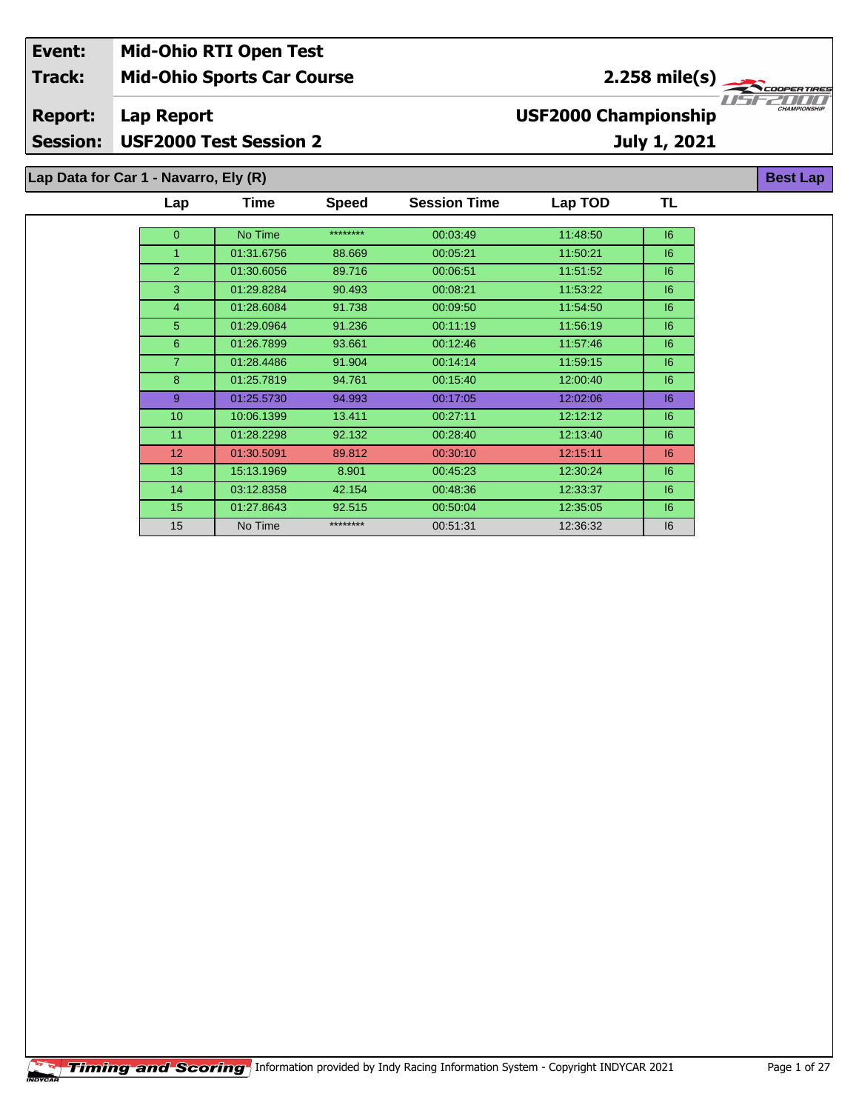## **Mid-Ohio Sports Car Course Lap Report July 1, 2021 Event: Mid-Ohio RTI Open Test Track: Report: Session: USF2000 Test Session 2 USF2000 Championship** 2.258 mile(s) **Best Lap Lap Data for Car 1 - Navarro, Ely (R)**

| Lap              | Time       | <b>Speed</b> | <b>Session Time</b> | Lap TOD  | TL |
|------------------|------------|--------------|---------------------|----------|----|
|                  |            |              |                     |          |    |
| $\overline{0}$   | No Time    | ********     | 00:03:49            | 11:48:50 | 6  |
| 1                | 01:31.6756 | 88.669       | 00:05:21            | 11:50:21 | 6  |
| $\overline{2}$   | 01:30.6056 | 89.716       | 00:06:51            | 11:51:52 | 6  |
| 3                | 01:29.8284 | 90.493       | 00:08:21            | 11:53:22 | 6  |
| 4                | 01:28.6084 | 91.738       | 00:09:50            | 11:54:50 | 6  |
| 5                | 01:29.0964 | 91.236       | 00:11:19            | 11:56:19 | 6  |
| 6                | 01:26.7899 | 93.661       | 00:12:46            | 11:57:46 | 6  |
| $\overline{7}$   | 01:28.4486 | 91.904       | 00:14:14            | 11:59:15 | 6  |
| 8                | 01:25.7819 | 94.761       | 00:15:40            | 12:00:40 | 6  |
| 9                | 01:25.5730 | 94.993       | 00:17:05            | 12:02:06 | 16 |
| 10 <sup>10</sup> | 10:06.1399 | 13.411       | 00:27:11            | 12:12:12 | 6  |
| 11               | 01:28.2298 | 92.132       | 00:28:40            | 12:13:40 | 16 |
| 12 <sup>2</sup>  | 01:30.5091 | 89.812       | 00:30:10            | 12:15:11 | 6  |
| 13 <sup>°</sup>  | 15:13.1969 | 8.901        | 00:45:23            | 12:30:24 | 6  |
| 14               | 03:12.8358 | 42.154       | 00:48:36            | 12:33:37 | 6  |
| 15               | 01:27.8643 | 92.515       | 00:50:04            | 12:35:05 | 6  |
| 15               | No Time    | ********     | 00:51:31            | 12:36:32 | 6  |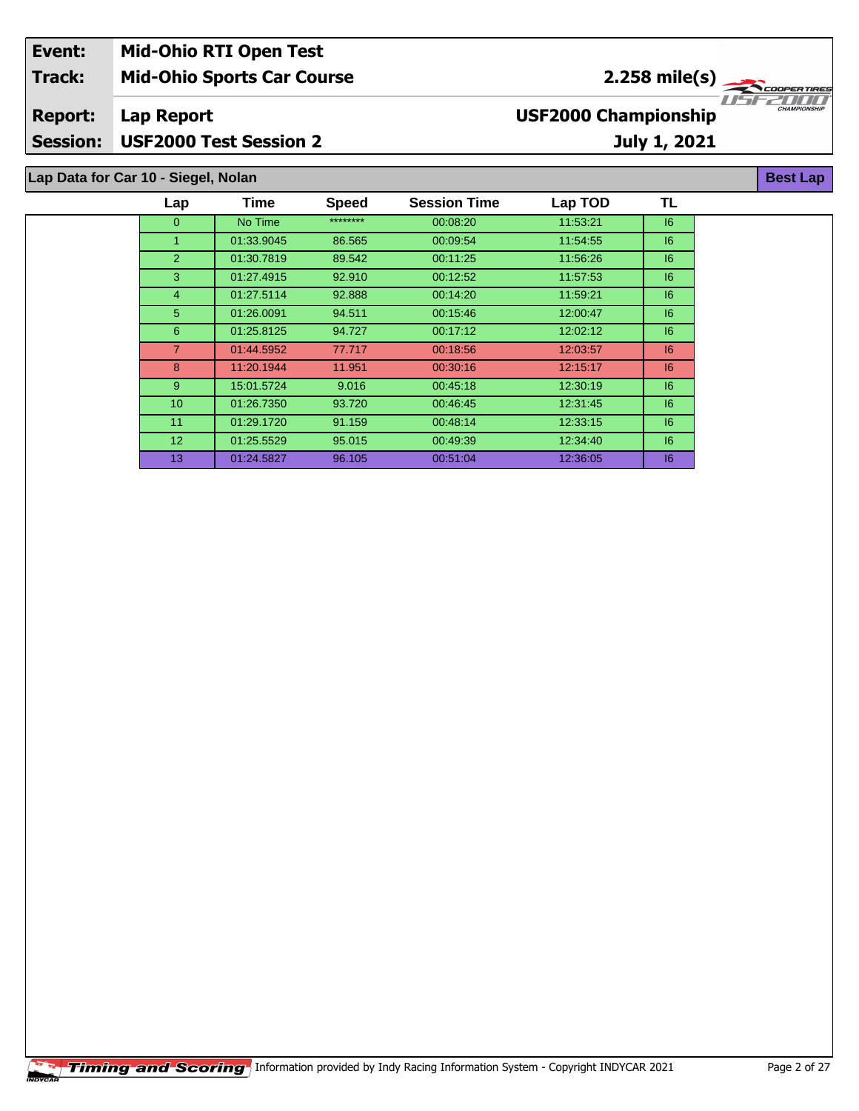| Event:          | <b>Mid-Ohio RTI Open Test</b>       |                             |                                          |
|-----------------|-------------------------------------|-----------------------------|------------------------------------------|
| <b>Track:</b>   | <b>Mid-Ohio Sports Car Course</b>   | $2.258 \text{ mile(s)}$     |                                          |
| <b>Report:</b>  | Lap Report                          | <b>USF2000 Championship</b> | 1151 221 11 11 11<br><b>CHAMPIONSHIP</b> |
| <b>Session:</b> | <b>USF2000 Test Session 2</b>       | July 1, 2021                |                                          |
|                 | Lap Data for Car 10 - Siegel, Nolan |                             | Best Lap                                 |

0 | No Time \*\*\*\*\*\*\*\*\* 00:08:20 11:53:21 | I6 01:33.9045 86.565 00:09:54 11:54:55 I6 01:30.7819 89.542 00:11:25 11:56:26 I6 01:27.4915 92.910 00:12:52 11:57:53 I6 01:27.5114 92.888 00:14:20 11:59:21 I6 01:26.0091 94.511 00:15:46 12:00:47 I6 01:25.8125 94.727 00:17:12 12:02:12 I6 01:44.5952 77.717 00:18:56 12:03:57 I6 8 11:20.1944 11.951 00:30:16 12:15:17 6 15:01.5724 9.016 00:45:18 12:30:19 I6 01:26.7350 93.720 00:46:45 12:31:45 I6 01:29.1720 91.159 00:48:14 12:33:15 I6 01:25.5529 95.015 00:49:39 12:34:40 I6 01:24.5827 96.105 00:51:04 12:36:05 I6

**TL**

**Lap Time Speed Session Time Lap TOD**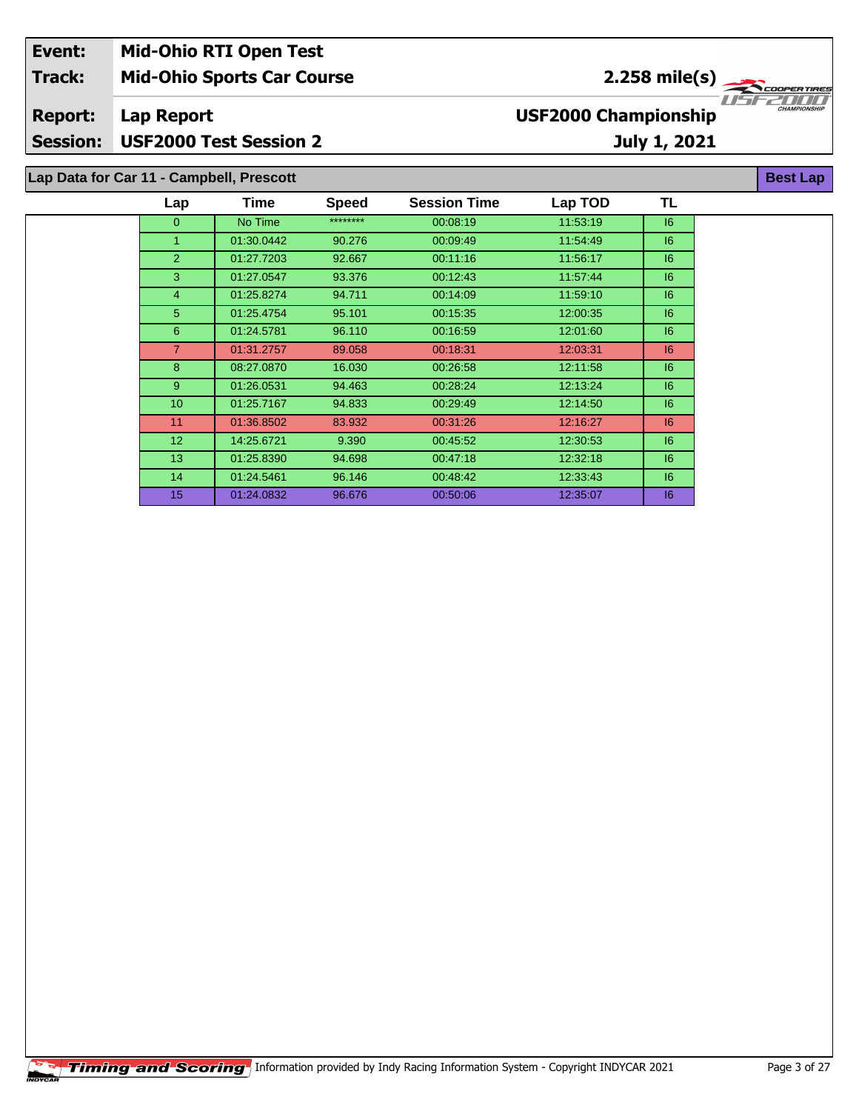| Event:          | <b>Mid-Ohio RTI Open Test</b>            |            |              |                     |                             |                 |                     |
|-----------------|------------------------------------------|------------|--------------|---------------------|-----------------------------|-----------------|---------------------|
| Track:          | <b>Mid-Ohio Sports Car Course</b>        |            |              |                     |                             | $2.258$ mile(s) | COOPERTIRES         |
| <b>Report:</b>  | Lap Report                               |            |              |                     | <b>USF2000 Championship</b> |                 | <b>CHAMPIONSHIP</b> |
| <b>Session:</b> | <b>USF2000 Test Session 2</b>            |            |              |                     |                             | July 1, 2021    |                     |
|                 | Lap Data for Car 11 - Campbell, Prescott |            |              |                     |                             |                 | <b>Best Lap</b>     |
|                 | Lap                                      | Time       | <b>Speed</b> | <b>Session Time</b> | Lap TOD                     | TL              |                     |
|                 | 0                                        | No Time    | ********     | 00:08:19            | 11:53:19                    | 16              |                     |
|                 |                                          | 01:30.0442 | 90.276       | 00:09:49            | 11:54:49                    | $\overline{6}$  |                     |

2 01:27.7203 92.667 00:11:16 11:56:17 6 01:27.0547 93.376 00:12:43 11:57:44 I6 01:25.8274 94.711 00:14:09 11:59:10 I6 01:25.4754 95.101 00:15:35 12:00:35 I6 01:24.5781 96.110 00:16:59 12:01:60 I6 01:31.2757 89.058 00:18:31 12:03:31 I6 08:27.0870 16.030 00:26:58 12:11:58 I6 01:26.0531 94.463 00:28:24 12:13:24 I6 01:25.7167 94.833 00:29:49 12:14:50 I6 11 01:36.8502 83.932 00:31:26 12:16:27 | 16 14:25.6721 9.390 00:45:52 12:30:53 I6 01:25.8390 94.698 00:47:18 12:32:18 I6 01:24.5461 96.146 00:48:42 12:33:43 I6 01:24.0832 96.676 00:50:06 12:35:07 I6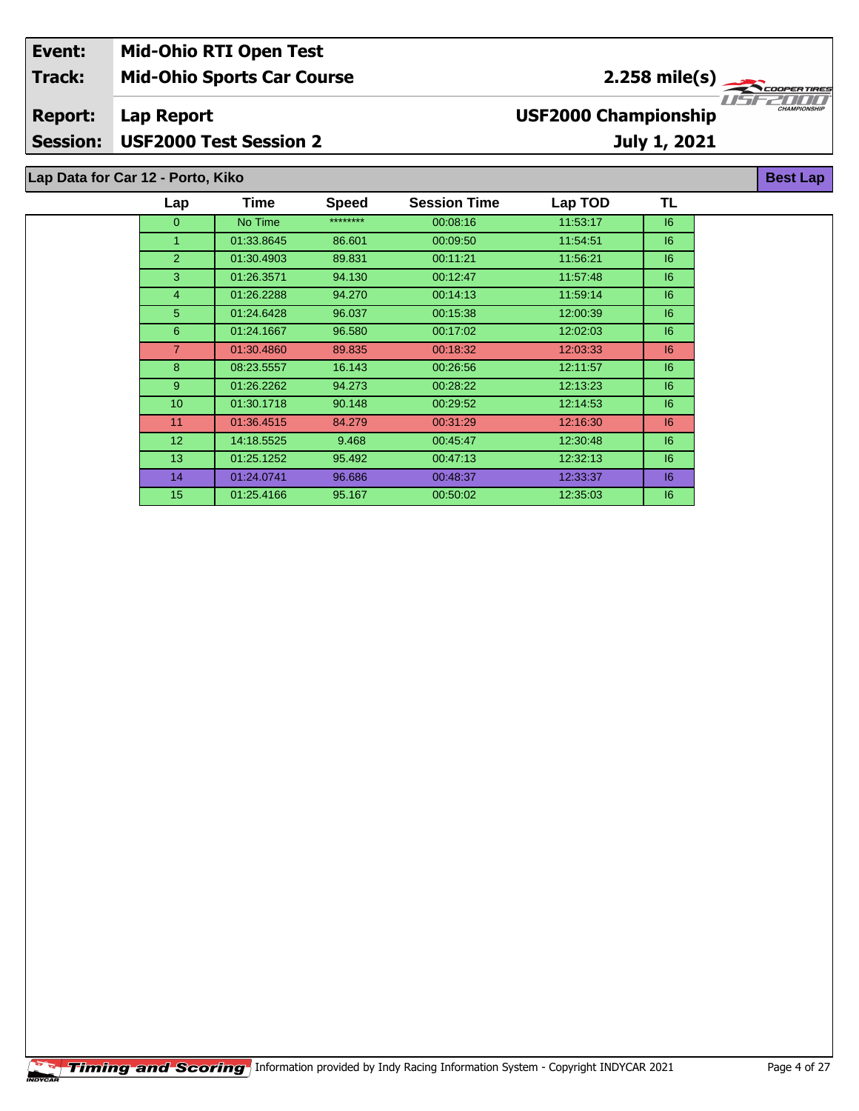| Event:         | <b>Mid-Ohio RTI Open Test</b>     |                                   |                     |
|----------------|-----------------------------------|-----------------------------------|---------------------|
| <b>Track:</b>  | <b>Mid-Ohio Sports Car Course</b> | $2.258$ mile(s) $\frac{1}{2.258}$ |                     |
| <b>Report:</b> | Lap Report                        | <b>USF2000 Championship</b>       | <b>CHAMPIONSHIP</b> |
|                | Session: USF2000 Test Session 2   | July 1, 2021                      |                     |
|                | Lap Data for Car 12 - Porto, Kiko |                                   | <b>Best Lap</b>     |

| Lap              | Time       | <b>Speed</b> | <b>Session Time</b> | Lap TOD  | TL |
|------------------|------------|--------------|---------------------|----------|----|
| $\mathbf{0}$     | No Time    | ********     | 00:08:16            | 11:53:17 | 6  |
| 1                | 01:33.8645 | 86.601       | 00:09:50            | 11:54:51 | 16 |
| $\overline{2}$   | 01:30.4903 | 89.831       | 00:11:21            | 11:56:21 | 6  |
| 3                | 01:26.3571 | 94.130       | 00:12:47            | 11:57:48 | 6  |
| $\overline{4}$   | 01:26.2288 | 94.270       | 00:14:13            | 11:59:14 | 16 |
| 5                | 01:24.6428 | 96.037       | 00:15:38            | 12:00:39 | 6  |
| 6                | 01:24.1667 | 96.580       | 00:17:02            | 12:02:03 | 6  |
| $\overline{7}$   | 01:30.4860 | 89.835       | 00:18:32            | 12:03:33 | 16 |
| 8                | 08:23.5557 | 16.143       | 00:26:56            | 12:11:57 | 6  |
| 9                | 01:26.2262 | 94.273       | 00:28:22            | 12:13:23 | 6  |
| 10 <sup>10</sup> | 01:30.1718 | 90.148       | 00:29:52            | 12:14:53 | 6  |
| 11               | 01:36.4515 | 84.279       | 00:31:29            | 12:16:30 | 6  |
| 12 <sup>°</sup>  | 14:18.5525 | 9.468        | 00:45:47            | 12:30:48 | 16 |
| 13               | 01:25.1252 | 95.492       | 00:47:13            | 12:32:13 | 16 |
| 14               | 01:24.0741 | 96.686       | 00:48:37            | 12:33:37 | 6  |
| 15               | 01:25.4166 | 95.167       | 00:50:02            | 12:35:03 | 16 |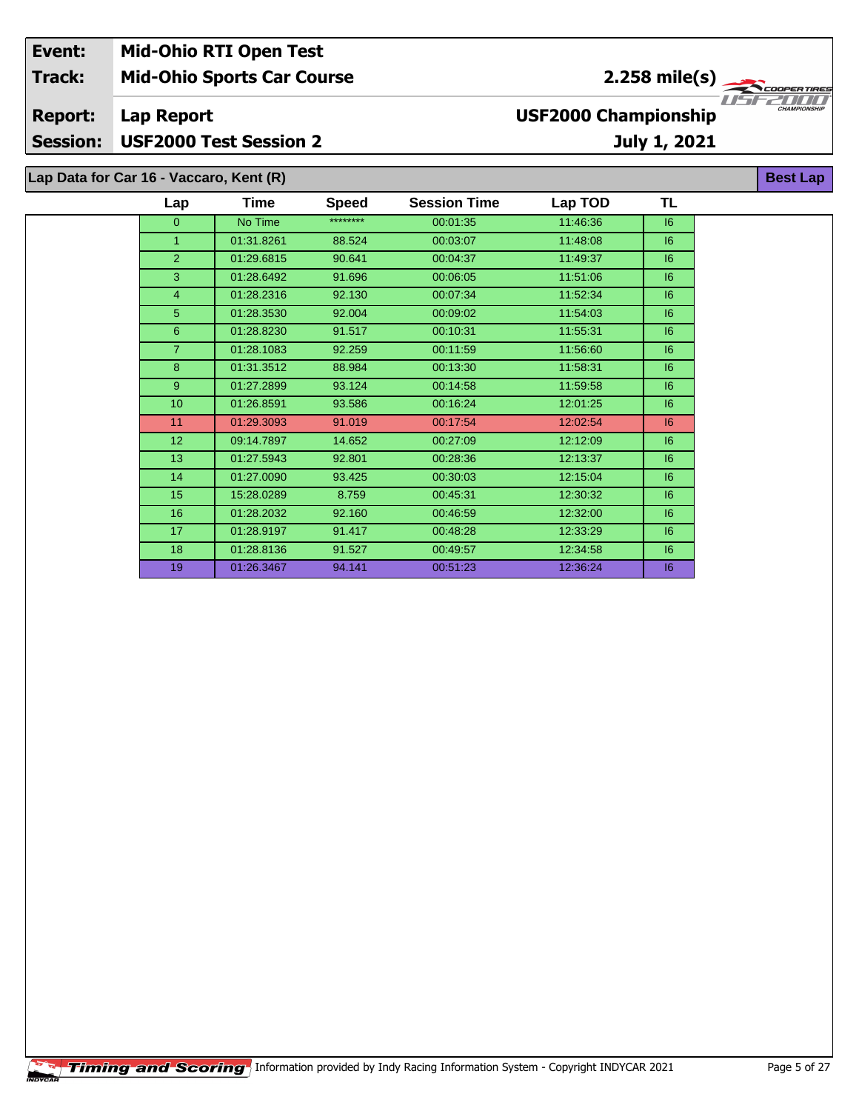| Event:          | <b>Mid-Ohio RTI Open Test</b>           |      |              |                     |                             |              |                                                                                                                                                                                                                                                                                                                                                                                                                                                                                                                                                                                 |
|-----------------|-----------------------------------------|------|--------------|---------------------|-----------------------------|--------------|---------------------------------------------------------------------------------------------------------------------------------------------------------------------------------------------------------------------------------------------------------------------------------------------------------------------------------------------------------------------------------------------------------------------------------------------------------------------------------------------------------------------------------------------------------------------------------|
| <b>Track:</b>   | <b>Mid-Ohio Sports Car Course</b>       |      |              |                     |                             |              | $2.258$ mile(s) $\left\langle \right\rangle$ $\left\langle \right\rangle$ $\left\langle \right\rangle$ $\left\langle \right\rangle$ $\left\langle \right\rangle$ $\left\langle \right\rangle$ $\left\langle \right\rangle$ $\left\langle \right\rangle$ $\left\langle \right\rangle$ $\left\langle \right\rangle$ $\left\langle \right\rangle$ $\left\langle \right\rangle$ $\left\langle \right\rangle$ $\left\langle \right\rangle$ $\left\langle \right\rangle$ $\left\langle \right\rangle$ $\left\langle \right\rangle$ $\left\langle \right\rangle$ $\left\langle \right$ |
| <b>Report:</b>  | Lap Report                              |      |              |                     | <b>USF2000 Championship</b> |              | <b>CHAMPIONSHIP</b>                                                                                                                                                                                                                                                                                                                                                                                                                                                                                                                                                             |
| <b>Session:</b> | <b>USF2000 Test Session 2</b>           |      |              |                     |                             | July 1, 2021 |                                                                                                                                                                                                                                                                                                                                                                                                                                                                                                                                                                                 |
|                 | Lap Data for Car 16 - Vaccaro, Kent (R) |      |              |                     |                             |              | <b>Best Lap</b>                                                                                                                                                                                                                                                                                                                                                                                                                                                                                                                                                                 |
|                 | $\mathsf{cap}$                          | Time | <b>Speed</b> | <b>Session Time</b> | Lap TOD                     | ΤL           |                                                                                                                                                                                                                                                                                                                                                                                                                                                                                                                                                                                 |

| Lap              | ∎ıme       | peea     | <b>Session</b> lime | Lap TOD  | ⊥∟ |
|------------------|------------|----------|---------------------|----------|----|
| $\overline{0}$   | No Time    | ******** | 00:01:35            | 11:46:36 | 6  |
| 1                | 01:31.8261 | 88.524   | 00:03:07            | 11:48:08 | 6  |
| 2                | 01:29.6815 | 90.641   | 00:04:37            | 11:49:37 | 6  |
| 3                | 01:28.6492 | 91.696   | 00:06:05            | 11:51:06 | 6  |
| 4                | 01:28.2316 | 92.130   | 00:07:34            | 11:52:34 | 6  |
| 5                | 01:28.3530 | 92.004   | 00:09:02            | 11:54:03 | 6  |
| 6                | 01:28.8230 | 91.517   | 00:10:31            | 11:55:31 | 6  |
| $\overline{7}$   | 01:28.1083 | 92.259   | 00:11:59            | 11:56:60 | 6  |
| 8                | 01:31.3512 | 88.984   | 00:13:30            | 11:58:31 | 6  |
| 9                | 01:27.2899 | 93.124   | 00:14:58            | 11:59:58 | 6  |
| 10 <sup>10</sup> | 01:26.8591 | 93.586   | 00:16:24            | 12:01:25 | 6  |
| 11               | 01:29.3093 | 91.019   | 00:17:54            | 12:02:54 | 6  |
| 12 <sup>2</sup>  | 09:14.7897 | 14.652   | 00:27:09            | 12:12:09 | 6  |
| 13               | 01:27.5943 | 92.801   | 00:28:36            | 12:13:37 | 6  |
| 14               | 01:27.0090 | 93.425   | 00:30:03            | 12:15:04 | 6  |
| 15               | 15:28.0289 | 8.759    | 00:45:31            | 12:30:32 | 6  |
| 16               | 01:28.2032 | 92.160   | 00:46:59            | 12:32:00 | 6  |
| 17               | 01:28.9197 | 91.417   | 00:48:28            | 12:33:29 | 6  |
| 18               | 01:28.8136 | 91.527   | 00:49:57            | 12:34:58 | 6  |
| 19               | 01:26.3467 | 94.141   | 00:51:23            | 12:36:24 | 6  |
|                  |            |          |                     |          |    |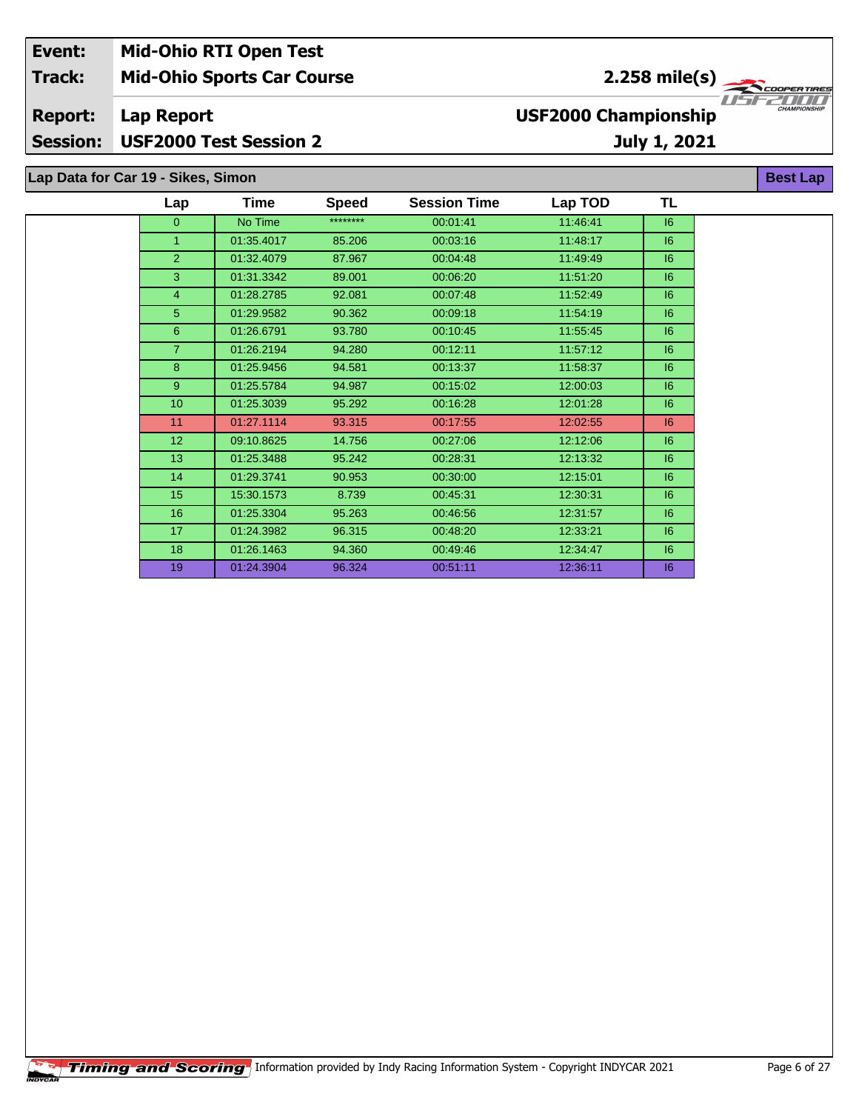| Event:          | <b>Mid-Ohio RTI Open Test</b>      |                             |                     |
|-----------------|------------------------------------|-----------------------------|---------------------|
| <b>Track:</b>   | <b>Mid-Ohio Sports Car Course</b>  | $2.258 \text{ mile(s)}$     |                     |
| <b>Report:</b>  | Lap Report                         | <b>USF2000 Championship</b> | <b>CHAMPIONSHIP</b> |
| <b>Session:</b> | USF2000 Test Session 2             | July 1, 2021                |                     |
|                 |                                    |                             |                     |
|                 | Lap Data for Car 19 - Sikes, Simon |                             | <b>Best Lap</b>     |

| Lap            | Time       | <b>Speed</b> | <b>Session Time</b> | Lap TOD  | TL |
|----------------|------------|--------------|---------------------|----------|----|
| $\overline{0}$ | No Time    | ********     | 00:01:41            | 11:46:41 | 6  |
| $\mathbf{1}$   | 01:35.4017 | 85.206       | 00:03:16            | 11:48:17 | 6  |
| $\overline{2}$ | 01:32.4079 | 87.967       | 00:04:48            | 11:49:49 | 6  |
| 3              | 01:31.3342 | 89.001       | 00:06:20            | 11:51:20 | 6  |
| 4              | 01:28.2785 | 92.081       | 00:07:48            | 11:52:49 | 6  |
| 5              | 01:29.9582 | 90.362       | 00:09:18            | 11:54:19 | 6  |
| 6              | 01:26.6791 | 93.780       | 00:10:45            | 11:55:45 | 6  |
| $\overline{7}$ | 01:26.2194 | 94.280       | 00:12:11            | 11:57:12 | 16 |
| 8              | 01:25.9456 | 94.581       | 00:13:37            | 11:58:37 | 6  |
| 9              | 01:25.5784 | 94.987       | 00:15:02            | 12:00:03 | 6  |
| 10             | 01:25.3039 | 95.292       | 00:16:28            | 12:01:28 | 6  |
| 11             | 01:27.1114 | 93.315       | 00:17:55            | 12:02:55 | 6  |
| 12             | 09:10.8625 | 14.756       | 00:27:06            | 12:12:06 | 6  |
| 13             | 01:25.3488 | 95.242       | 00:28:31            | 12:13:32 | 6  |
| 14             | 01:29.3741 | 90.953       | 00:30:00            | 12:15:01 | 6  |
| 15             | 15:30.1573 | 8.739        | 00:45:31            | 12:30:31 | 16 |
| 16             | 01:25.3304 | 95.263       | 00:46:56            | 12:31:57 | 16 |
| 17             | 01:24.3982 | 96.315       | 00:48:20            | 12:33:21 | 16 |
| 18             | 01:26.1463 | 94.360       | 00:49:46            | 12:34:47 | 6  |
| 19             | 01:24.3904 | 96.324       | 00:51:11            | 12:36:11 | 6  |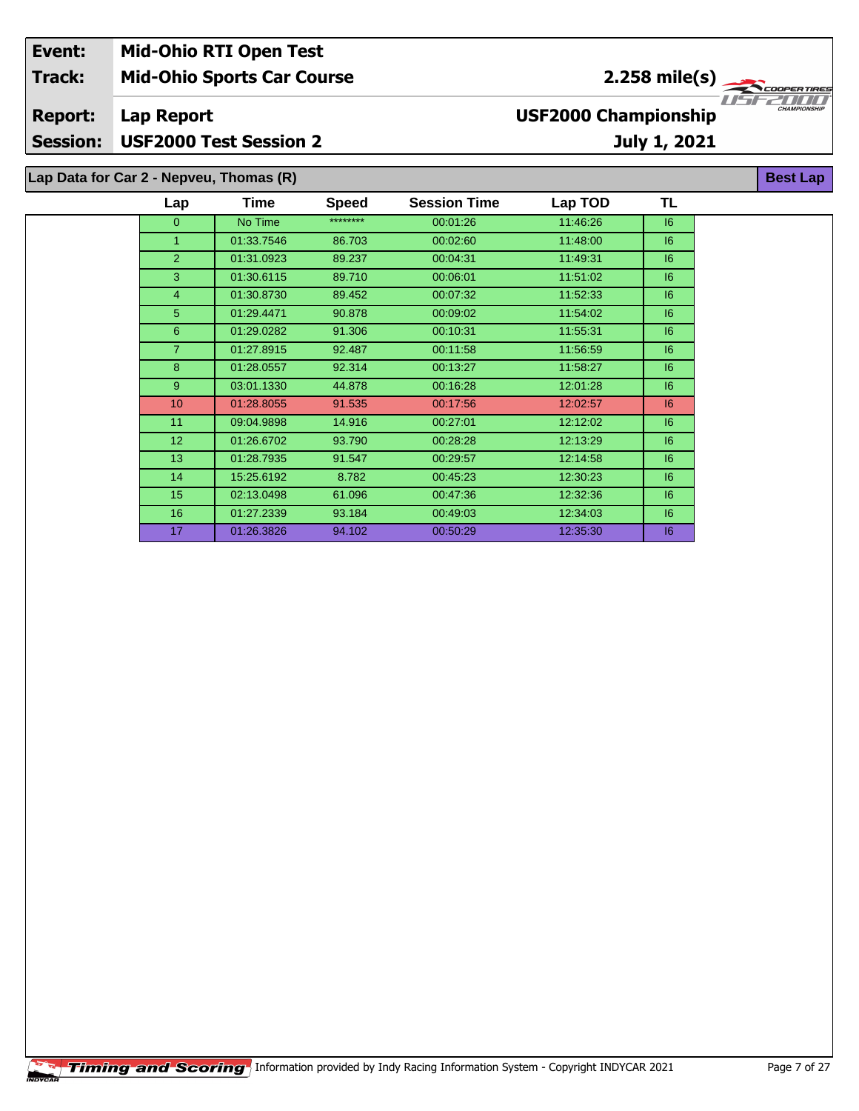| Event:          |                                         | <b>Mid-Ohio RTI Open Test</b>     |              |                     |                             |                 |                     |
|-----------------|-----------------------------------------|-----------------------------------|--------------|---------------------|-----------------------------|-----------------|---------------------|
| <b>Track:</b>   |                                         | <b>Mid-Ohio Sports Car Course</b> |              |                     |                             | $2.258$ mile(s) | <b>COOPERTIRES</b>  |
| <b>Report:</b>  | Lap Report                              |                                   |              |                     | <b>USF2000 Championship</b> |                 | <b>CHAMPIONSHIP</b> |
| <b>Session:</b> | <b>USF2000 Test Session 2</b>           |                                   |              |                     |                             | July 1, 2021    |                     |
|                 | Lap Data for Car 2 - Nepveu, Thomas (R) |                                   |              |                     |                             |                 | <b>Best Lap</b>     |
|                 | Lap                                     | <b>Time</b>                       | <b>Speed</b> | <b>Session Time</b> | Lap TOD                     | TL              |                     |
|                 | $\Omega$                                | No Time                           | ********     | 00:01:26            | 11:46:26                    | 16              |                     |
|                 |                                         | 01:33.7546                        | 86.703       | 00:02:60            | 11:48:00                    | 6               |                     |
|                 | $\mathcal{P}$                           | 01:31.0923                        | 89.237       | 00:04:31            | 11:49:31                    | 6               |                     |
|                 | 3                                       | 01:30.6115                        | 89.710       | 00:06:01            | 11:51:02                    | 6               |                     |
|                 | 4                                       | 01:30.8730                        | 89.452       | 00:07:32            | 11:52:33                    | 6               |                     |

 01:29.4471 90.878 00:09:02 11:54:02 I6 01:29.0282 91.306 00:10:31 11:55:31 I6 01:27.8915 92.487 00:11:58 11:56:59 I6 01:28.0557 92.314 00:13:27 11:58:27 I6 03:01.1330 44.878 00:16:28 12:01:28 I6 01:28.8055 91.535 00:17:56 12:02:57 I6 09:04.9898 14.916 00:27:01 12:12:02 I6 01:26.6702 93.790 00:28:28 12:13:29 I6 01:28.7935 91.547 00:29:57 12:14:58 I6 15:25.6192 8.782 00:45:23 12:30:23 I6 02:13.0498 61.096 00:47:36 12:32:36 I6 01:27.2339 93.184 00:49:03 12:34:03 I6 01:26.3826 94.102 00:50:29 12:35:30 I6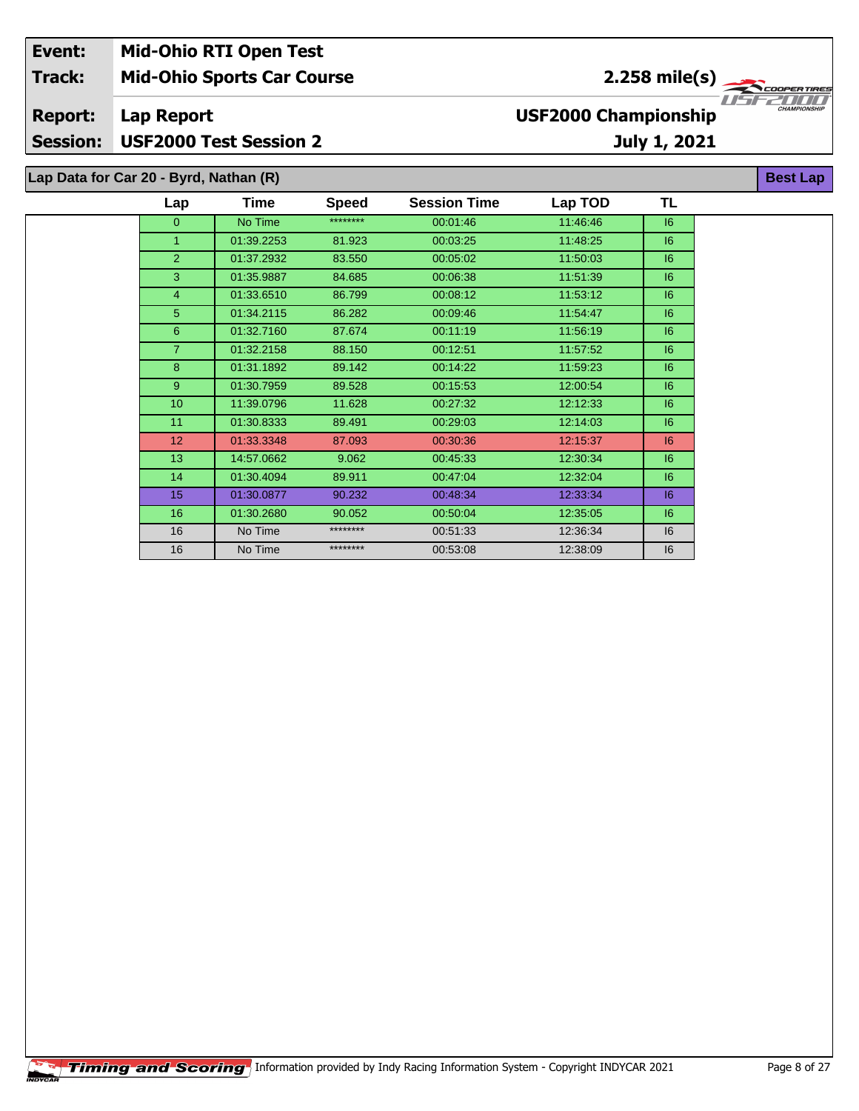| Event:          | <b>Mid-Ohio RTI Open Test</b>          |         |              |                     |                             |                             |                     |
|-----------------|----------------------------------------|---------|--------------|---------------------|-----------------------------|-----------------------------|---------------------|
| <b>Track:</b>   | <b>Mid-Ohio Sports Car Course</b>      |         |              |                     |                             | 2.258 mile(s) $\rightarrow$ | COOPER TIRES        |
| <b>Report:</b>  | Lap Report                             |         |              |                     | <b>USF2000 Championship</b> |                             | <b>CHAMPIONSHIP</b> |
| <b>Session:</b> | <b>USF2000 Test Session 2</b>          |         |              |                     |                             | July 1, 2021                |                     |
|                 | Lap Data for Car 20 - Byrd, Nathan (R) |         |              |                     |                             |                             | <b>Best Lap</b>     |
|                 | Lap                                    | Time    | <b>Speed</b> | <b>Session Time</b> | Lap TOD                     | TL                          |                     |
|                 | O                                      | No Time | ********     | 00:01:46            | 11:46:46                    | 16                          |                     |

 01:39.2253 81.923 00:03:25 11:48:25 I6 01:37.2932 83.550 00:05:02 11:50:03 I6 01:35.9887 84.685 00:06:38 11:51:39 I6 01:33.6510 86.799 00:08:12 11:53:12 I6 01:34.2115 86.282 00:09:46 11:54:47 I6 01:32.7160 87.674 00:11:19 11:56:19 I6 01:32.2158 88.150 00:12:51 11:57:52 I6 01:31.1892 89.142 00:14:22 11:59:23 I6 01:30.7959 89.528 00:15:53 12:00:54 I6 11:39.0796 11.628 00:27:32 12:12:33 I6 11 01:30.8333 89.491 00:29:03 12:14:03 61:30.8333 01:33.3348 87.093 00:30:36 12:15:37 I6 14:57.0662 9.062 00:45:33 12:30:34 I6 01:30.4094 89.911 00:47:04 12:32:04 I6 01:30.0877 90.232 00:48:34 12:33:34 I6 01:30.2680 90.052 00:50:04 12:35:05 I6 16 | No Time \*\*\*\*\*\*\*\*\* 00:51:33 12:36:34 | I6 No Time \*\*\*\*\*\*\*\* 00:53:08 12:38:09 I6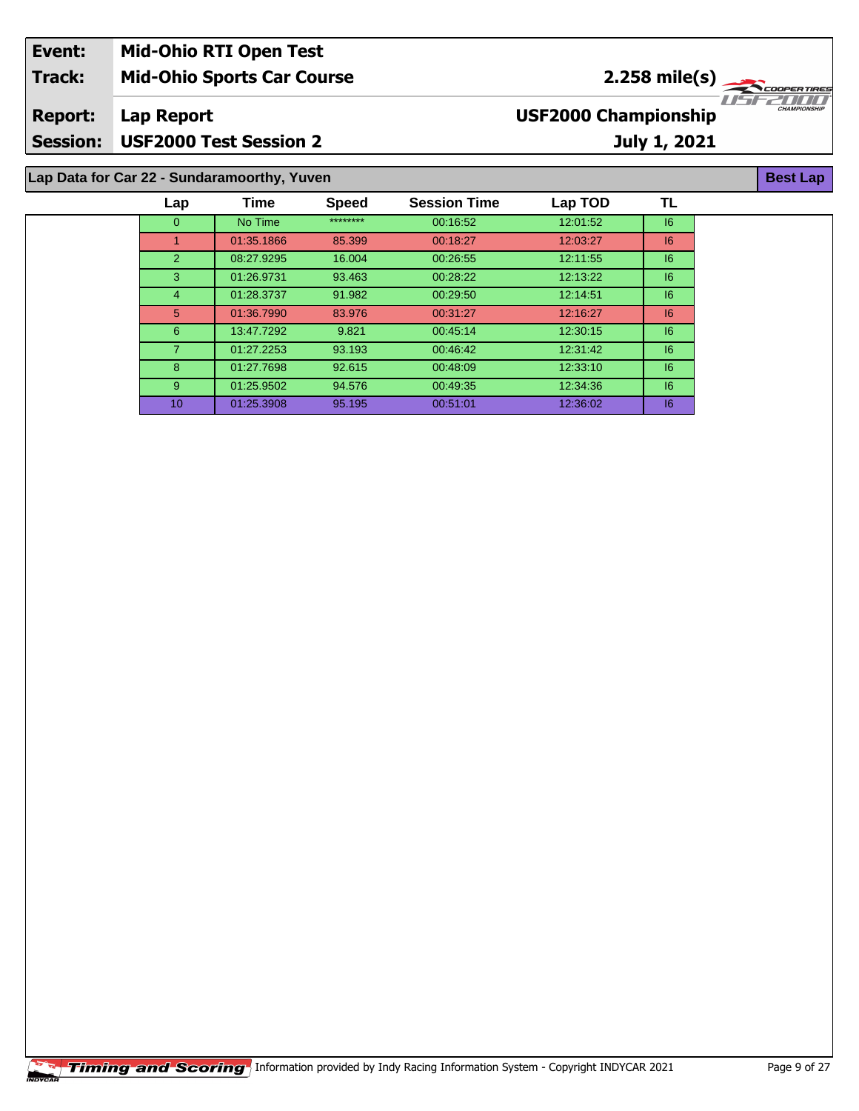| Event:          | <b>Mid-Ohio RTI Open Test</b>                                  |                                                    |  |  |  |  |  |
|-----------------|----------------------------------------------------------------|----------------------------------------------------|--|--|--|--|--|
| <b>Track:</b>   | <b>Mid-Ohio Sports Car Course</b>                              | $2.258$ mile(s)                                    |  |  |  |  |  |
| <b>Report:</b>  | Lap Report                                                     | <b>CHAMPIONSHIP</b><br><b>USF2000 Championship</b> |  |  |  |  |  |
| <b>Session:</b> | <b>USF2000 Test Session 2</b>                                  | July 1, 2021                                       |  |  |  |  |  |
|                 | Lap Data for Car 22 - Sundaramoorthy, Yuven<br><b>Best Lap</b> |                                                    |  |  |  |  |  |

| Lap            | Time       | <b>Speed</b> | <b>Session Time</b> | Lap TOD  | TL |
|----------------|------------|--------------|---------------------|----------|----|
| $\Omega$       | No Time    | ********     | 00.16.52            | 12:01:52 | 6  |
| 1              | 01:35.1866 | 85.399       | 00:18:27            | 12:03:27 | 6  |
| 2              | 08:27.9295 | 16.004       | 00:26:55            | 12:11:55 | 6  |
| 3              | 01:26.9731 | 93.463       | 00:28:22            | 12:13:22 | 6  |
| $\overline{4}$ | 01:28.3737 | 91.982       | 00:29:50            | 12:14:51 | 6  |
| 5              | 01:36.7990 | 83.976       | 00:31:27            | 12:16:27 | 16 |
| 6              | 13:47.7292 | 9.821        | 00:45:14            | 12:30:15 | 16 |
| 7              | 01:27.2253 | 93.193       | 00:46:42            | 12:31:42 | 6  |
| 8              | 01:27.7698 | 92.615       | 00:48:09            | 12:33:10 | 6  |
| 9              | 01:25.9502 | 94.576       | 00:49:35            | 12:34:36 | 6  |
| 10             | 01:25.3908 | 95.195       | 00.51:01            | 12:36:02 | 16 |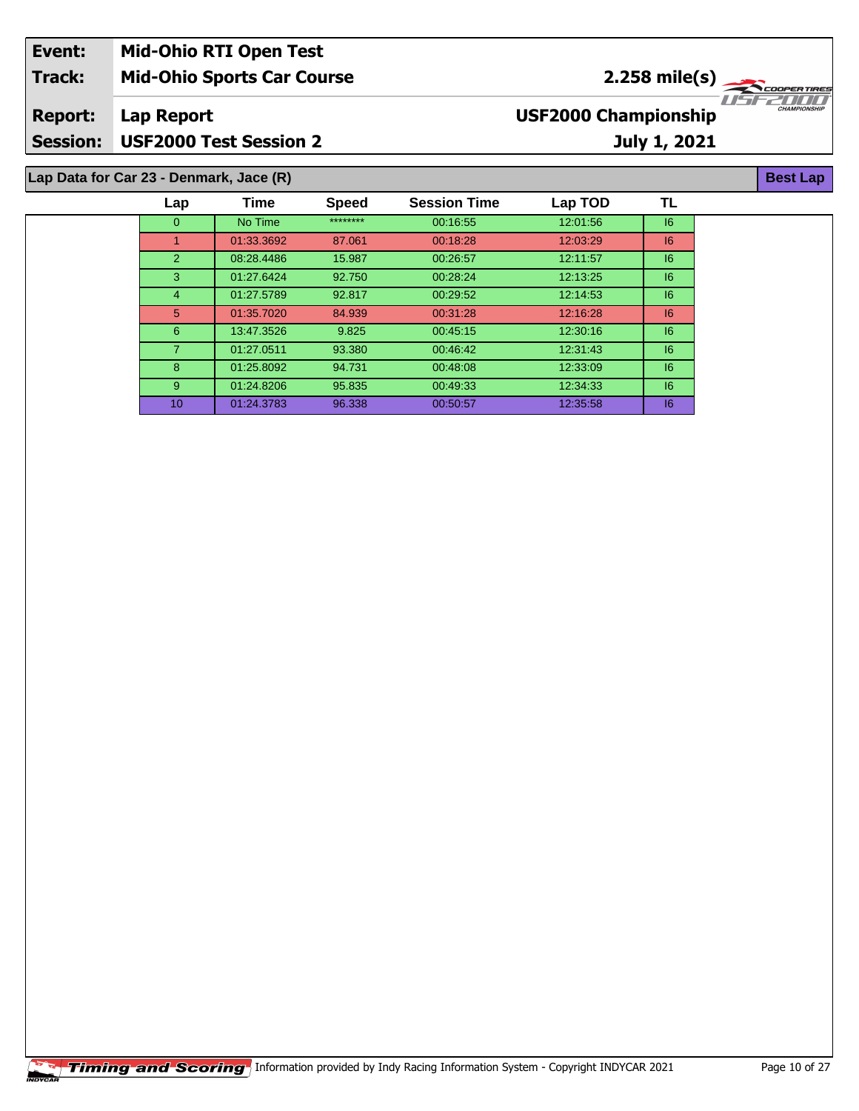| Event:          | <b>Mid-Ohio RTI Open Test</b>           |                                                    |
|-----------------|-----------------------------------------|----------------------------------------------------|
| <b>Track:</b>   | <b>Mid-Ohio Sports Car Course</b>       | $2.258$ mile(s)                                    |
| <b>Report:</b>  | Lap Report                              | <b>CHAMPIONSHIP</b><br><b>USF2000 Championship</b> |
| <b>Session:</b> | USF2000 Test Session 2                  | July 1, 2021                                       |
|                 | Lap Data for Car 23 - Denmark, Jace (R) | <b>Best Lap</b>                                    |

| Lap            | Time       | <b>Speed</b> | <b>Session Time</b> | Lap TOD  | TL      |
|----------------|------------|--------------|---------------------|----------|---------|
| $\Omega$       | No Time    | ********     | 00:16:55            | 12:01:56 | 6       |
| 1              | 01:33.3692 | 87.061       | 00:18:28            | 12:03:29 | 6       |
| 2              | 08:28.4486 | 15.987       | 00:26:57            | 12:11:57 | 6       |
| 3              | 01:27.6424 | 92.750       | 00:28:24            | 12:13:25 | 6       |
| $\overline{4}$ | 01:27.5789 | 92.817       | 00:29:52            | 12:14:53 | $16 \,$ |
| 5              | 01:35.7020 | 84.939       | 00:31:28            | 12:16:28 | 6       |
| 6              | 13:47.3526 | 9.825        | 00:45:15            | 12:30:16 | 6       |
| $\overline{7}$ | 01:27.0511 | 93.380       | 00:46:42            | 12:31:43 | 6       |
| 8              | 01:25.8092 | 94.731       | 00:48:08            | 12:33:09 | 6       |
| 9              | 01:24.8206 | 95.835       | 00:49:33            | 12:34:33 | 6       |
| 10             | 01:24.3783 | 96.338       | 00:50:57            | 12:35:58 | 6       |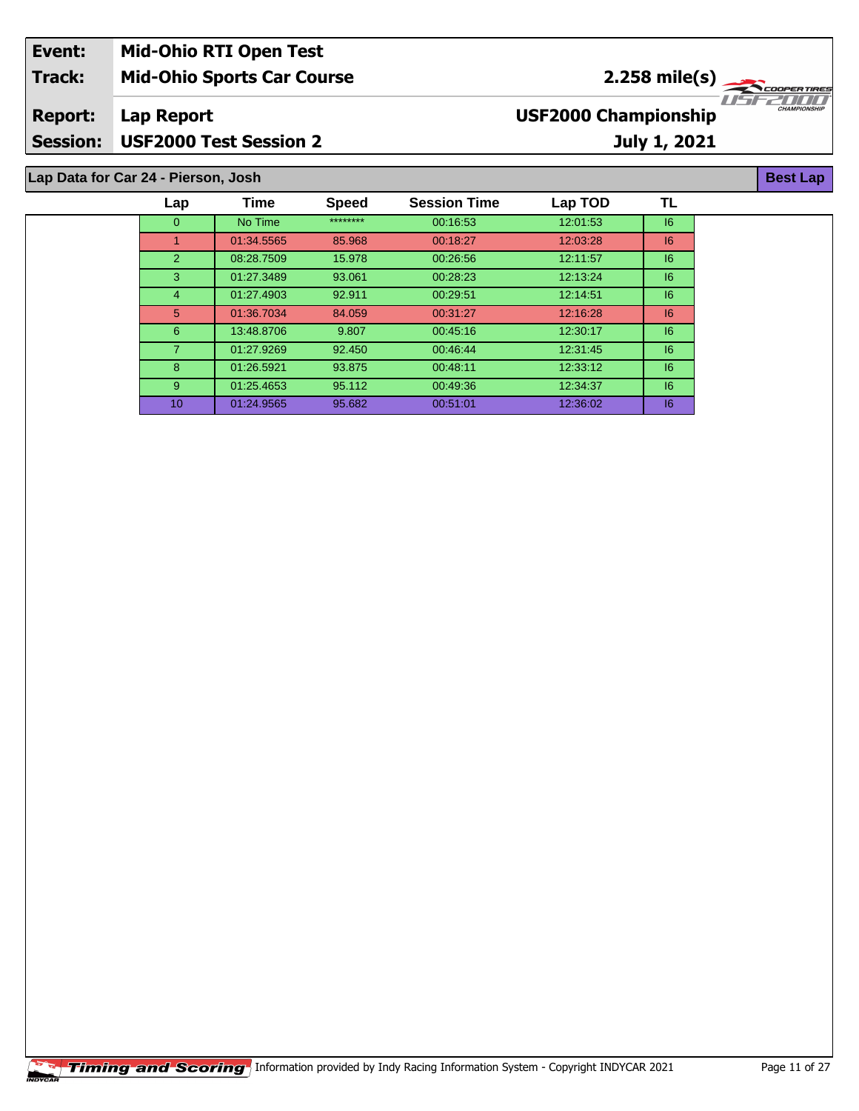| Event:          | <b>Mid-Ohio RTI Open Test</b>     |                                                    |
|-----------------|-----------------------------------|----------------------------------------------------|
| Track:          | <b>Mid-Ohio Sports Car Course</b> | $2.258 \text{ mile(s)}$                            |
| <b>Report:</b>  | Lap Report                        | <b>CHAMPIONSHIP</b><br><b>USF2000 Championship</b> |
| <b>Session:</b> | <b>USF2000 Test Session 2</b>     | July 1, 2021                                       |
|                 |                                   |                                                    |

 01:27.9269 92.450 00:46:44 12:31:45 I6 01:26.5921 93.875 00:48:11 12:33:12 I6 01:25.4653 95.112 00:49:36 12:34:37 I6 01:24.9565 95.682 00:51:01 12:36:02 I6

| Lap Data for Car 24 - Pierson, Josh |               |            |              |                     |          |    |
|-------------------------------------|---------------|------------|--------------|---------------------|----------|----|
|                                     | Lap           | Time       | <b>Speed</b> | <b>Session Time</b> | Lap TOD  | Τl |
|                                     | 0             | No Time    | ********     | 00.16.53            | 12:01:53 | 16 |
|                                     |               | 01:34.5565 | 85.968       | 00:18:27            | 12:03:28 | 16 |
|                                     | $\mathcal{P}$ | 08:28.7509 | 15.978       | 00:26:56            | 12:11:57 | 16 |
|                                     | 3             | 01:27.3489 | 93.061       | 00:28:23            | 12:13:24 | 16 |
|                                     | 4             | 01:27.4903 | 92.911       | 00:29:51            | 12:14:51 | 16 |
|                                     | 5             | 01:36.7034 | 84.059       | 00:31:27            | 12:16:28 | 16 |
|                                     | 6             | 13:48.8706 | 9.807        | 00:45.16            | 12:30:17 | 16 |

**Best Lap**

**TL**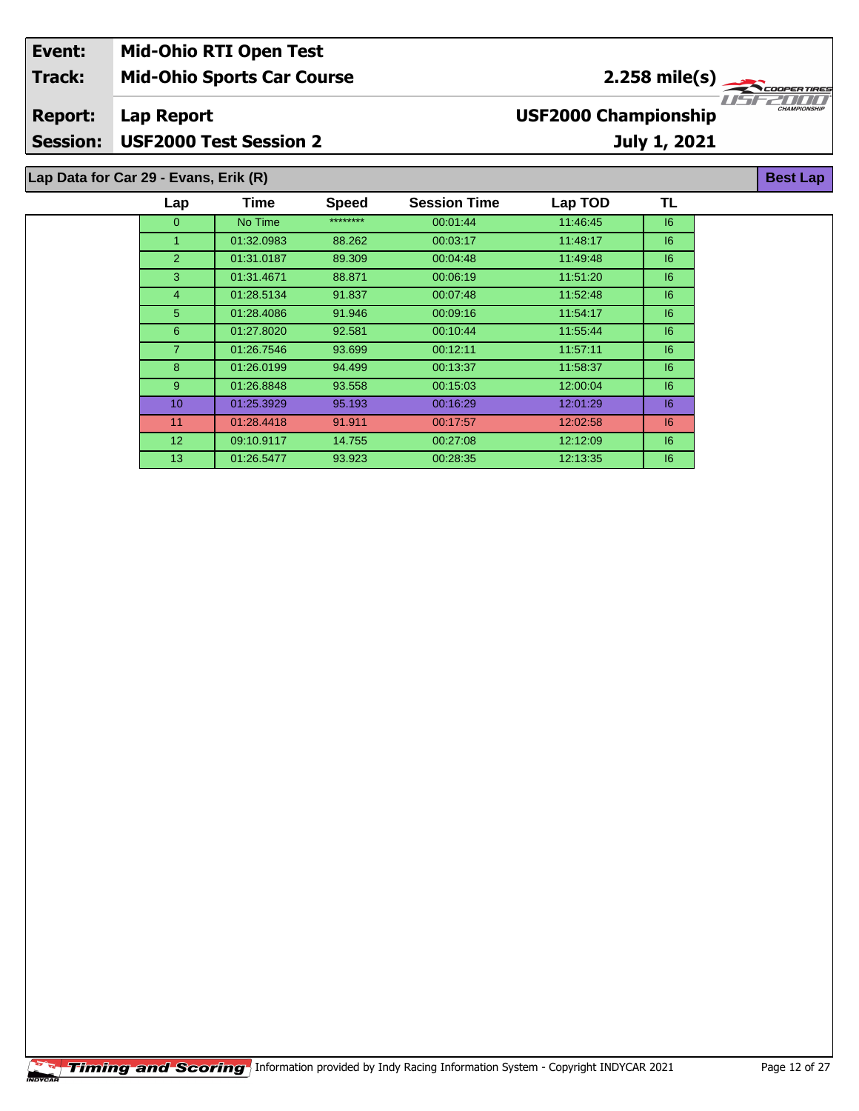| Event:          | <b>Mid-Ohio RTI Open Test</b>         |                                                      |                     |
|-----------------|---------------------------------------|------------------------------------------------------|---------------------|
| <b>Track:</b>   | <b>Mid-Ohio Sports Car Course</b>     | $2.258$ mile(s) $\frac{1}{\sqrt{256} \cdot 10^{10}}$ |                     |
| <b>Report:</b>  | Lap Report                            | <b>USF2000 Championship</b>                          | <b>CHAMPIONSHIP</b> |
| <b>Session:</b> | <b>USF2000 Test Session 2</b>         | July 1, 2021                                         |                     |
|                 | Lap Data for Car 29 - Evans, Erik (R) |                                                      | <b>Best Lap</b>     |

| Lap             | Time       | <b>Speed</b> | <b>Session Time</b> | Lap TOD  | TL |
|-----------------|------------|--------------|---------------------|----------|----|
| $\mathbf{0}$    | No Time    | ********     | 00:01:44            | 11:46:45 | 16 |
|                 | 01:32.0983 | 88.262       | 00:03:17            | 11:48:17 | 16 |
| $\overline{2}$  | 01:31.0187 | 89.309       | 00:04:48            | 11.49.48 | 6  |
| 3               | 01:31.4671 | 88.871       | 00:06:19            | 11:51:20 | 6  |
| 4               | 01:28.5134 | 91.837       | 00:07:48            | 11:52:48 | 16 |
| 5               | 01:28.4086 | 91.946       | 00:09:16            | 11:54:17 | 6  |
| 6               | 01:27.8020 | 92.581       | 00:10:44            | 11.55.44 | 6  |
| $\overline{7}$  | 01:26.7546 | 93.699       | 00:12:11            | 11:57:11 | 6  |
| 8               | 01:26.0199 | 94.499       | 00:13:37            | 11:58:37 | 6  |
| 9               | 01:26.8848 | 93.558       | 00:15:03            | 12:00:04 | 6  |
| 10 <sup>°</sup> | 01:25.3929 | 95.193       | 00:16:29            | 12:01:29 | 6  |
| 11              | 01:28.4418 | 91.911       | 00:17:57            | 12:02:58 | 6  |
| 12 <sup>2</sup> | 09:10.9117 | 14.755       | 00:27:08            | 12:12:09 | 6  |
| 13 <sup>°</sup> | 01:26.5477 | 93.923       | 00:28:35            | 12:13:35 | 16 |
|                 |            |              |                     |          |    |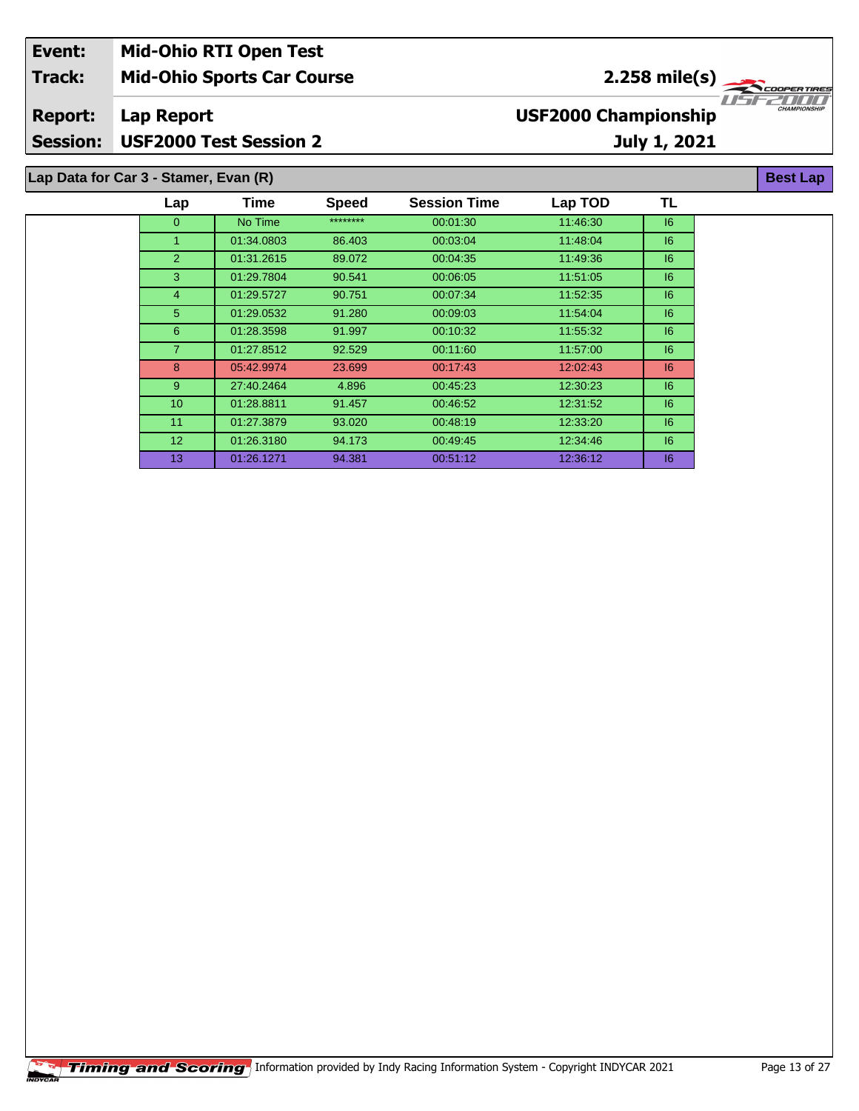| Event:          | <b>Mid-Ohio RTI Open Test</b>         |                                                  |
|-----------------|---------------------------------------|--------------------------------------------------|
| <b>Track:</b>   | <b>Mid-Ohio Sports Car Course</b>     | مبہ (2.258 mile(s<br>COOPERTIRES                 |
| <b>Report:</b>  | Lap Report                            | <b>CHAMPIONSH</b><br><b>USF2000 Championship</b> |
| <b>Session:</b> | <b>USF2000 Test Session 2</b>         | July 1, 2021                                     |
|                 | Lap Data for Car 3 - Stamer, Evan (R) | <b>Best Lap</b>                                  |

| Lap             | Time       | <b>Speed</b> | <b>Session Time</b> | Lap TOD  | TL |
|-----------------|------------|--------------|---------------------|----------|----|
| $\mathbf{0}$    | No Time    | ********     | 00:01:30            | 11:46:30 | 16 |
| 1               | 01:34.0803 | 86.403       | 00:03:04            | 11:48:04 | 16 |
| 2               | 01:31.2615 | 89.072       | 00:04:35            | 11:49:36 | 16 |
| 3               | 01:29.7804 | 90.541       | 00:06:05            | 11:51:05 | 16 |
| $\overline{4}$  | 01:29.5727 | 90.751       | 00:07:34            | 11:52:35 | 16 |
| 5               | 01:29.0532 | 91.280       | 00:09:03            | 11.54.04 | 16 |
| 6               | 01:28.3598 | 91.997       | 00:10:32            | 11.55.32 | 16 |
| $\overline{7}$  | 01:27.8512 | 92.529       | 00:11:60            | 11.57.00 | 6  |
| 8               | 05:42.9974 | 23.699       | 00:17:43            | 12:02:43 | 6  |
| 9               | 27:40.2464 | 4.896        | 00:45:23            | 12:30:23 | 6  |
| 10 <sup>°</sup> | 01:28.8811 | 91.457       | 00:46:52            | 12:31:52 | 16 |
| 11              | 01:27.3879 | 93.020       | 00:48:19            | 12:33:20 | 16 |
| 12 <sup>2</sup> | 01:26.3180 | 94.173       | 00:49:45            | 12.34.46 | 16 |
| 13              | 01:26.1271 | 94.381       | 00:51:12            | 12:36:12 | 16 |
|                 |            |              |                     |          |    |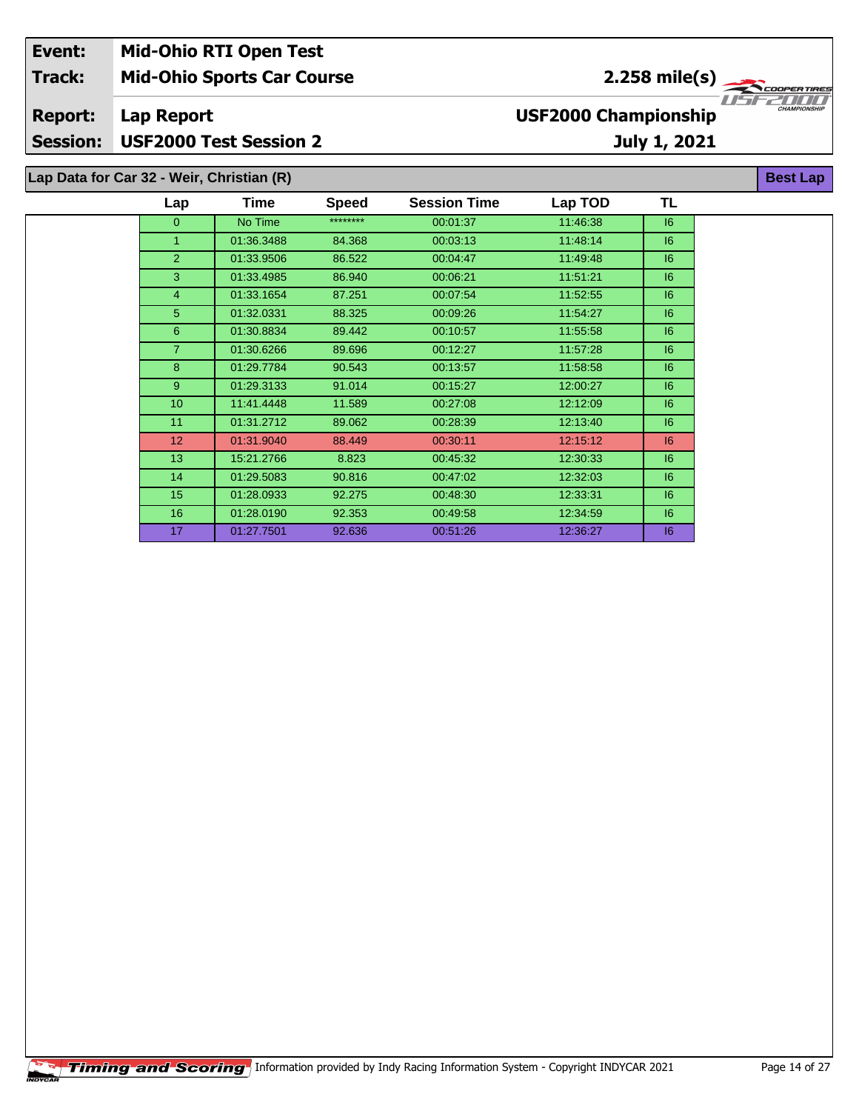| Event:                            |                                           | <b>Mid-Ohio RTI Open Test</b>     |              |                     |                             |                 |                     |
|-----------------------------------|-------------------------------------------|-----------------------------------|--------------|---------------------|-----------------------------|-----------------|---------------------|
| <b>Track:</b>                     |                                           | <b>Mid-Ohio Sports Car Course</b> |              |                     |                             | $2.258$ mile(s) | <b>COOPERTIRES</b>  |
| <b>Report:</b><br><b>Session:</b> | Lap Report                                | <b>USF2000 Test Session 2</b>     |              |                     | <b>USF2000 Championship</b> | July 1, 2021    | <b>CHAMPIONSHIP</b> |
|                                   | Lap Data for Car 32 - Weir, Christian (R) |                                   |              |                     |                             |                 | <b>Best Lap</b>     |
|                                   | Lap                                       | <b>Time</b>                       | <b>Speed</b> | <b>Session Time</b> | Lap TOD                     | TL              |                     |
|                                   | 0                                         | No Time                           | ********     | 00:01:37            | 11:46:38                    | 16              |                     |
|                                   |                                           | 01:36.3488                        | 84.368       | 00:03:13            | 11:48:14                    | 16              |                     |
|                                   |                                           | 01:33.9506                        | 86.522       | 00:04:47            | 11:49:48                    | 16              |                     |

 01:33.4985 86.940 00:06:21 11:51:21 I6 01:33.1654 87.251 00:07:54 11:52:55 I6 01:32.0331 88.325 00:09:26 11:54:27 I6 01:30.8834 89.442 00:10:57 11:55:58 I6 01:30.6266 89.696 00:12:27 11:57:28 I6 01:29.7784 90.543 00:13:57 11:58:58 I6 01:29.3133 91.014 00:15:27 12:00:27 I6 11:41.4448 11.589 00:27:08 12:12:09 I6 11 01:31.2712 89.062 00:28:39 12:13:40 | 16 01:31.9040 88.449 00:30:11 12:15:12 I6 15:21.2766 8.823 00:45:32 12:30:33 I6 01:29.5083 90.816 00:47:02 12:32:03 I6 01:28.0933 92.275 00:48:30 12:33:31 I6 01:28.0190 92.353 00:49:58 12:34:59 I6 01:27.7501 92.636 00:51:26 12:36:27 I6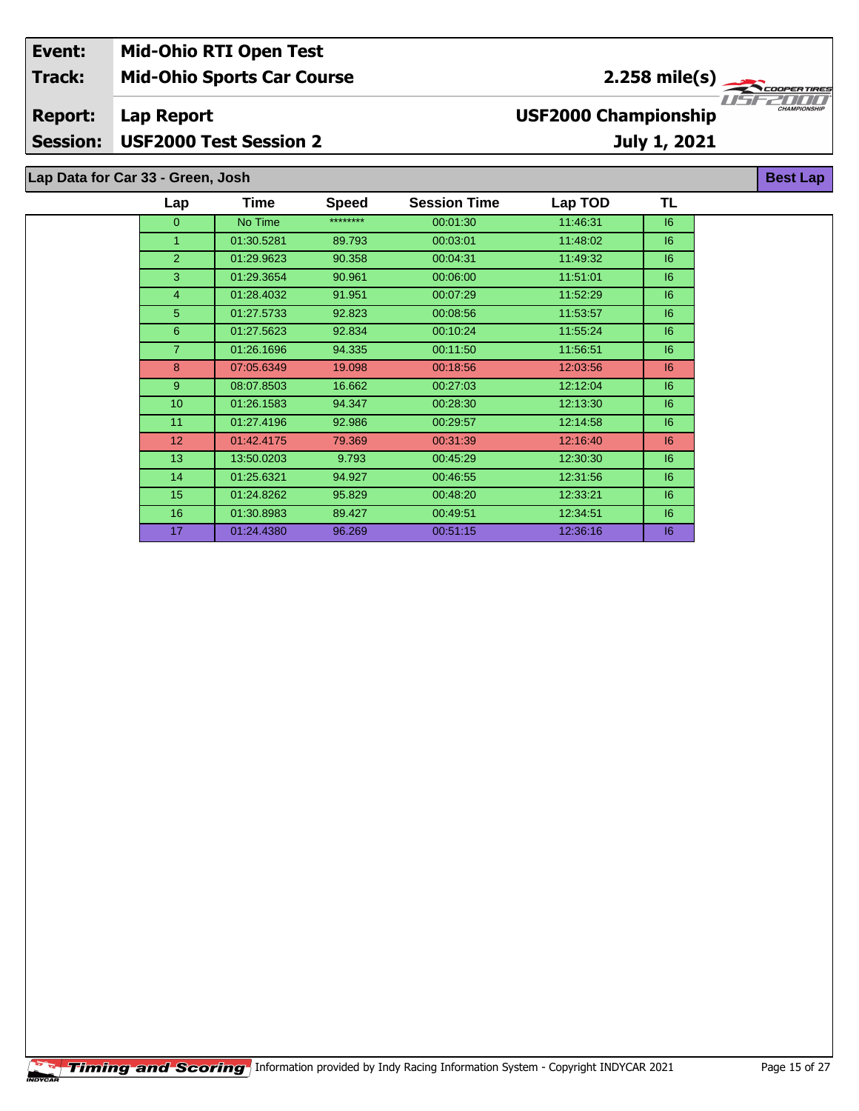| Event:         | <b>Mid-Ohio RTI Open Test</b>     |                             |                                 |
|----------------|-----------------------------------|-----------------------------|---------------------------------|
| <b>Track:</b>  | <b>Mid-Ohio Sports Car Course</b> | $2.258 \text{ mile(s)}$     |                                 |
| <b>Report:</b> | Lap Report                        | <b>USF2000 Championship</b> | 77521777<br><b>CHAMPIONSHIP</b> |
|                | Session: USF2000 Test Session 2   | July 1, 2021                |                                 |
|                |                                   |                             |                                 |
|                | Lap Data for Car 33 - Green, Josh |                             | <b>Best Lap</b>                 |

| Lap            | Time       | <b>Speed</b> | <b>Session Time</b> | Lap TOD  | TL |
|----------------|------------|--------------|---------------------|----------|----|
| 0              | No Time    | ********     | 00:01:30            | 11:46:31 | 16 |
| 1              | 01:30.5281 | 89.793       | 00:03:01            | 11:48:02 | 6  |
| $\overline{2}$ | 01:29.9623 | 90.358       | 00:04:31            | 11:49:32 | 6  |
| 3              | 01:29.3654 | 90.961       | 00:06:00            | 11:51:01 | 6  |
| 4              | 01:28.4032 | 91.951       | 00:07:29            | 11:52:29 | 6  |
| 5              | 01:27.5733 | 92.823       | 00:08:56            | 11:53:57 | 6  |
| 6              | 01:27.5623 | 92.834       | 00:10:24            | 11:55:24 | 6  |
| $\overline{7}$ | 01:26.1696 | 94.335       | 00:11:50            | 11:56:51 | 6  |
| 8              | 07:05.6349 | 19.098       | 00:18:56            | 12:03:56 | 6  |
| 9              | 08:07.8503 | 16.662       | 00:27:03            | 12:12:04 | 6  |
| 10             | 01:26.1583 | 94.347       | 00:28:30            | 12:13:30 | 6  |
| 11             | 01:27.4196 | 92.986       | 00:29:57            | 12:14:58 | 6  |
| 12             | 01:42.4175 | 79.369       | 00:31:39            | 12:16:40 | 6  |
| 13             | 13:50.0203 | 9.793        | 00:45:29            | 12:30:30 | 6  |
| 14             | 01:25.6321 | 94.927       | 00:46:55            | 12:31:56 | 6  |
| 15             | 01:24.8262 | 95.829       | 00:48:20            | 12:33:21 | 16 |
| 16             | 01:30.8983 | 89.427       | 00:49:51            | 12:34:51 | 16 |
| 17             | 01:24.4380 | 96.269       | 00:51:15            | 12:36:16 | 6  |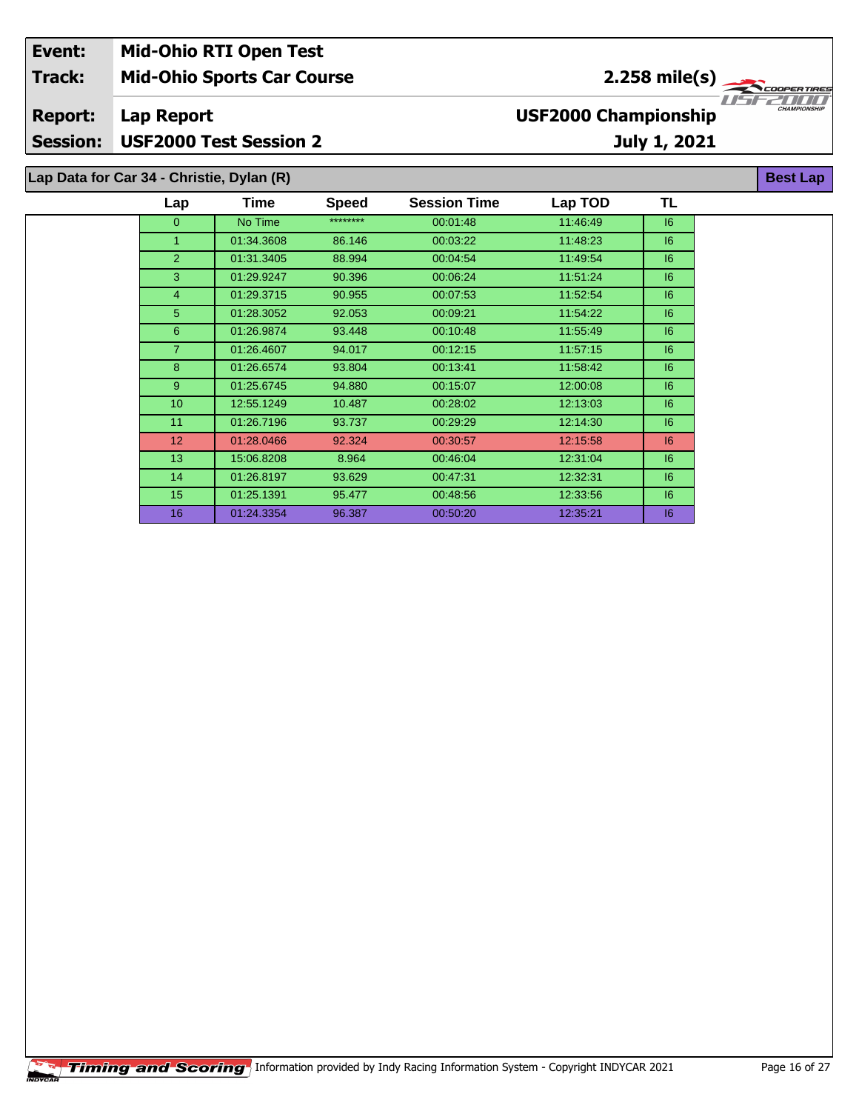| Event:          | <b>Mid-Ohio RTI Open Test</b>             |                               |              |                      |                             |              |                                     |
|-----------------|-------------------------------------------|-------------------------------|--------------|----------------------|-----------------------------|--------------|-------------------------------------|
| <b>Track:</b>   | <b>Mid-Ohio Sports Car Course</b>         |                               |              | 2.258 mile(s) $\sim$ |                             |              | <b>COOPERTIRES</b>                  |
| <b>Report:</b>  | Lap Report                                |                               |              |                      | <b>USF2000 Championship</b> |              | 115122111111<br><b>CHAMPIONSHIP</b> |
| <b>Session:</b> |                                           | <b>USF2000 Test Session 2</b> |              |                      |                             | July 1, 2021 |                                     |
|                 | Lap Data for Car 34 - Christie, Dylan (R) |                               |              |                      |                             |              | <b>Best Lap</b>                     |
|                 | $\mathsf{Lap}$                            | Time                          | <b>Speed</b> | <b>Session Time</b>  | Lap TOD                     | TL           |                                     |
|                 | 0                                         | No Time                       | ********     | 00:01:48             | 11:46:49                    | 16           |                                     |
|                 |                                           | 01:34.3608                    | 86.146       | 00:03:22             | 11:48:23                    | 6            |                                     |

 01:31.3405 88.994 00:04:54 11:49:54 I6 01:29.9247 90.396 00:06:24 11:51:24 I6 01:29.3715 90.955 00:07:53 11:52:54 I6 01:28.3052 92.053 00:09:21 11:54:22 I6 01:26.9874 93.448 00:10:48 11:55:49 I6 01:26.4607 94.017 00:12:15 11:57:15 I6 01:26.6574 93.804 00:13:41 11:58:42 I6 01:25.6745 94.880 00:15:07 12:00:08 I6 12:55.1249 10.487 00:28:02 12:13:03 I6 01:26.7196 93.737 00:29:29 12:14:30 I6 01:28.0466 92.324 00:30:57 12:15:58 I6 15:06.8208 8.964 00:46:04 12:31:04 I6 01:26.8197 93.629 00:47:31 12:32:31 I6 01:25.1391 95.477 00:48:56 12:33:56 I6 01:24.3354 96.387 00:50:20 12:35:21 I6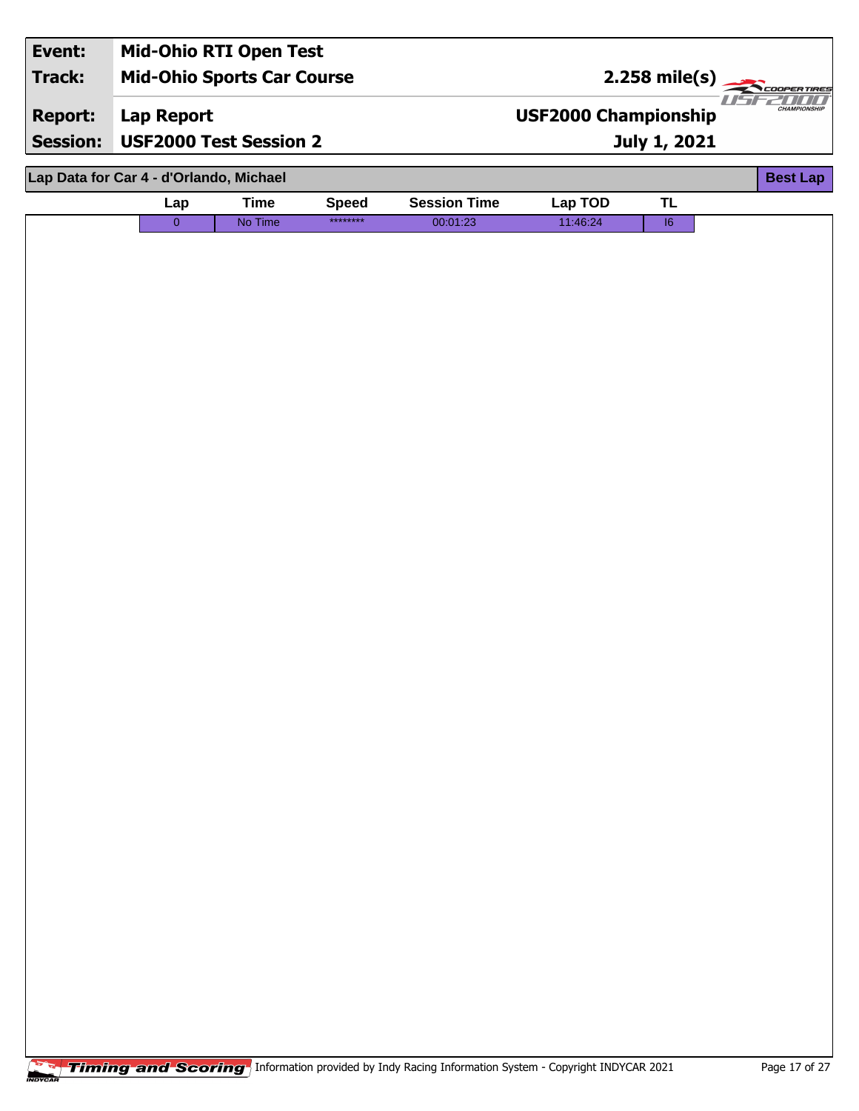| Event:          |                                         | <b>Mid-Ohio RTI Open Test</b>     |              |                     |                             |                         |                     |
|-----------------|-----------------------------------------|-----------------------------------|--------------|---------------------|-----------------------------|-------------------------|---------------------|
| <b>Track:</b>   |                                         | <b>Mid-Ohio Sports Car Course</b> |              |                     |                             | $2.258 \text{ mile(s)}$ |                     |
| <b>Report:</b>  | Lap Report                              |                                   |              |                     | <b>USF2000 Championship</b> |                         | <b>CHAMPIONSHIP</b> |
| <b>Session:</b> | <b>USF2000 Test Session 2</b>           |                                   |              |                     |                             | July 1, 2021            |                     |
|                 | Lap Data for Car 4 - d'Orlando, Michael |                                   |              |                     |                             |                         | <b>Best Lap</b>     |
|                 | Lap                                     | <b>Time</b>                       | <b>Speed</b> | <b>Session Time</b> | Lap TOD                     | <b>TL</b>               |                     |
|                 | $\overline{0}$                          | No Time                           | ********     | 00:01:23            | 11:46:24                    | $\overline{16}$         |                     |
|                 |                                         |                                   |              |                     |                             |                         |                     |
|                 |                                         |                                   |              |                     |                             |                         |                     |
|                 |                                         |                                   |              |                     |                             |                         |                     |
|                 |                                         |                                   |              |                     |                             |                         |                     |
|                 |                                         |                                   |              |                     |                             |                         |                     |
|                 |                                         |                                   |              |                     |                             |                         |                     |
|                 |                                         |                                   |              |                     |                             |                         |                     |
|                 |                                         |                                   |              |                     |                             |                         |                     |
|                 |                                         |                                   |              |                     |                             |                         |                     |
|                 |                                         |                                   |              |                     |                             |                         |                     |
|                 |                                         |                                   |              |                     |                             |                         |                     |
|                 |                                         |                                   |              |                     |                             |                         |                     |
|                 |                                         |                                   |              |                     |                             |                         |                     |
|                 |                                         |                                   |              |                     |                             |                         |                     |
|                 |                                         |                                   |              |                     |                             |                         |                     |
|                 |                                         |                                   |              |                     |                             |                         |                     |
|                 |                                         |                                   |              |                     |                             |                         |                     |
|                 |                                         |                                   |              |                     |                             |                         |                     |
|                 |                                         |                                   |              |                     |                             |                         |                     |
|                 |                                         |                                   |              |                     |                             |                         |                     |
|                 |                                         |                                   |              |                     |                             |                         |                     |
|                 |                                         |                                   |              |                     |                             |                         |                     |
|                 |                                         |                                   |              |                     |                             |                         |                     |
|                 |                                         |                                   |              |                     |                             |                         |                     |
|                 |                                         |                                   |              |                     |                             |                         |                     |
|                 |                                         |                                   |              |                     |                             |                         |                     |
|                 |                                         |                                   |              |                     |                             |                         |                     |
|                 |                                         |                                   |              |                     |                             |                         |                     |
|                 |                                         |                                   |              |                     |                             |                         |                     |
|                 |                                         |                                   |              |                     |                             |                         |                     |
|                 |                                         |                                   |              |                     |                             |                         |                     |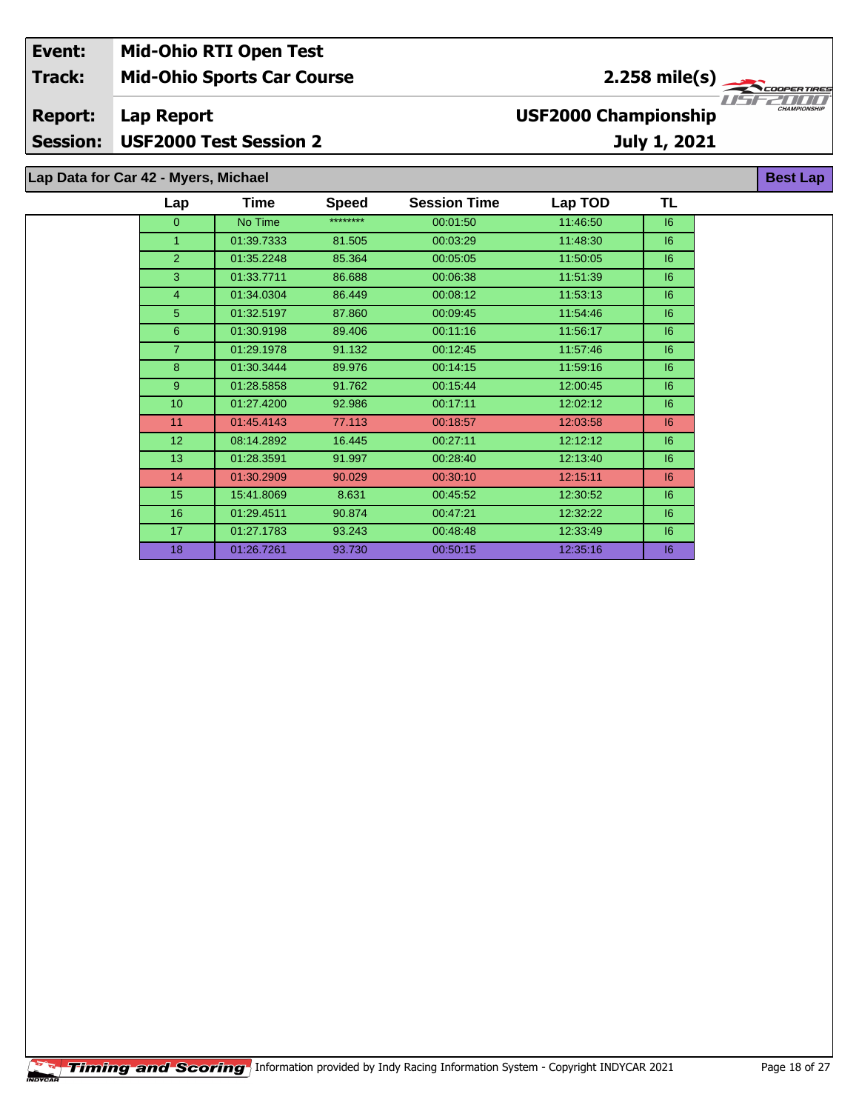| Event:          | <b>Mid-Ohio RTI Open Test</b>        |                             |                     |
|-----------------|--------------------------------------|-----------------------------|---------------------|
| <b>Track:</b>   | <b>Mid-Ohio Sports Car Course</b>    | $2.258 \text{ mile(s)}$     |                     |
| <b>Report:</b>  | Lap Report                           | <b>USF2000 Championship</b> | <b>CHAMPIONSHIP</b> |
| <b>Session:</b> | <b>USF2000 Test Session 2</b>        | July 1, 2021                |                     |
|                 | Lap Data for Car 42 - Myers, Michael |                             | <b>Best Lap</b>     |

| Lap             | Time       | <b>Speed</b> | <b>Session Time</b> | Lap TOD  | TL |
|-----------------|------------|--------------|---------------------|----------|----|
| 0               | No Time    | ********     | 00:01:50            | 11:46:50 | 6  |
| 1               | 01:39.7333 | 81.505       | 00:03:29            | 11:48:30 | 6  |
| $\overline{2}$  | 01:35.2248 | 85.364       | 00:05:05            | 11:50:05 | 6  |
| 3               | 01:33.7711 | 86.688       | 00:06:38            | 11:51:39 | 6  |
| 4               | 01:34.0304 | 86.449       | 00:08:12            | 11:53:13 | 6  |
| 5               | 01:32.5197 | 87.860       | 00:09:45            | 11:54:46 | 6  |
| 6               | 01:30.9198 | 89.406       | 00:11:16            | 11:56:17 | 6  |
| $\overline{7}$  | 01:29.1978 | 91.132       | 00:12:45            | 11:57:46 | 16 |
| 8               | 01:30.3444 | 89.976       | 00:14:15            | 11:59:16 | 6  |
| $9^{\circ}$     | 01:28.5858 | 91.762       | 00:15:44            | 12:00:45 | 16 |
| 10              | 01:27.4200 | 92.986       | 00:17:11            | 12:02:12 | 6  |
| 11              | 01:45.4143 | 77.113       | 00:18:57            | 12:03:58 | 6  |
| 12 <sub>2</sub> | 08:14.2892 | 16.445       | 00:27:11            | 12:12:12 | 6  |
| 13 <sup>°</sup> | 01:28.3591 | 91.997       | 00:28:40            | 12:13:40 | 6  |
| 14              | 01:30.2909 | 90.029       | 00:30:10            | 12:15:11 | 6  |
| 15              | 15:41.8069 | 8.631        | 00:45:52            | 12:30:52 | 6  |
| 16 <sup>°</sup> | 01:29.4511 | 90.874       | 00:47:21            | 12:32:22 | 6  |
| 17 <sup>2</sup> | 01:27.1783 | 93.243       | 00:48:48            | 12:33:49 | 6  |
| 18              | 01:26.7261 | 93.730       | 00:50:15            | 12:35:16 | 6  |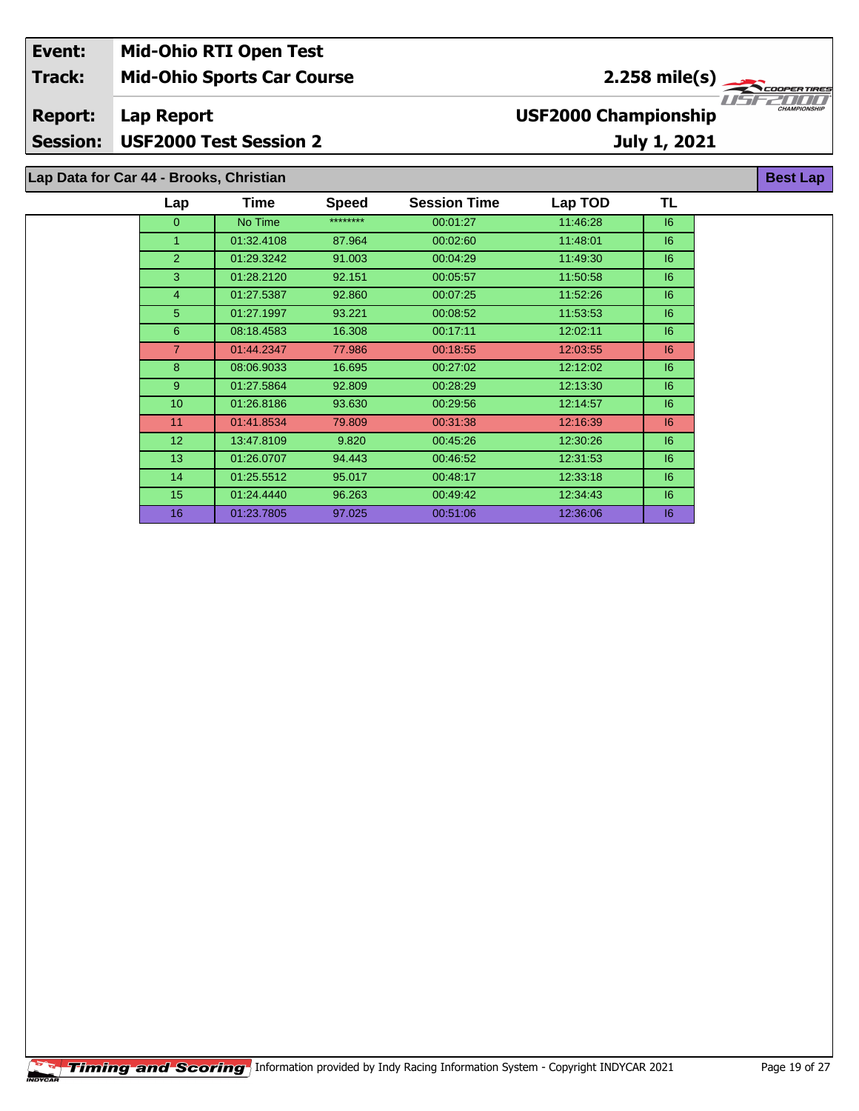| Event:          | <b>Mid-Ohio RTI Open Test</b>           |      |              |                     |                             |                             |                                   |
|-----------------|-----------------------------------------|------|--------------|---------------------|-----------------------------|-----------------------------|-----------------------------------|
| <b>Track:</b>   | <b>Mid-Ohio Sports Car Course</b>       |      |              |                     |                             | 2.258 mile(s) $\rightarrow$ | <b>COOPERTIRES</b>                |
| <b>Report:</b>  | Lap Report                              |      |              |                     | <b>USF2000 Championship</b> |                             | 1156211111<br><b>CHAMPIONSHIP</b> |
| <b>Session:</b> | <b>USF2000 Test Session 2</b>           |      |              |                     |                             | July 1, 2021                |                                   |
|                 | Lap Data for Car 44 - Brooks, Christian |      |              |                     |                             |                             | <b>Best Lap</b>                   |
|                 | Lap                                     | Time | <b>Speed</b> | <b>Session Time</b> | Lap TOD                     | TL                          |                                   |

| Lap              | ı ıme      | <b>speed</b> | <b>Session Time</b> | Lap TOD  | 1 L     |
|------------------|------------|--------------|---------------------|----------|---------|
| $\Omega$         | No Time    | ********     | 00:01:27            | 11:46:28 | 6       |
| $\mathbf{1}$     | 01:32.4108 | 87.964       | 00:02:60            | 11:48:01 | 6       |
| 2                | 01:29.3242 | 91.003       | 00:04:29            | 11:49:30 | 6       |
| 3                | 01:28.2120 | 92.151       | 00:05:57            | 11:50:58 | 6       |
| $\overline{4}$   | 01:27.5387 | 92.860       | 00:07:25            | 11:52:26 | 6       |
| 5                | 01:27.1997 | 93.221       | 00:08:52            | 11:53:53 | 6       |
| 6                | 08:18.4583 | 16.308       | 00:17:11            | 12:02:11 | 6       |
| $\overline{7}$   | 01:44.2347 | 77.986       | 00:18:55            | 12:03:55 | 6       |
| 8                | 08:06.9033 | 16.695       | 00:27:02            | 12:12:02 | $16 \,$ |
| 9                | 01:27.5864 | 92.809       | 00:28:29            | 12:13:30 | 16      |
| 10               | 01:26.8186 | 93.630       | 00:29:56            | 12:14:57 | 16      |
| 11               | 01:41.8534 | 79.809       | 00:31:38            | 12:16:39 | 16      |
| 12 <sub>2</sub>  | 13:47.8109 | 9.820        | 00:45:26            | 12:30:26 | 16      |
| 13               | 01:26.0707 | 94.443       | 00:46:52            | 12:31:53 | 16      |
| 14               | 01:25.5512 | 95.017       | 00:48:17            | 12:33:18 | $16 \,$ |
| 15 <sub>15</sub> | 01:24.4440 | 96.263       | 00:49:42            | 12:34:43 | $16 \,$ |
| 16               | 01:23.7805 | 97.025       | 00:51:06            | 12:36:06 | 6       |
|                  |            |              |                     |          |         |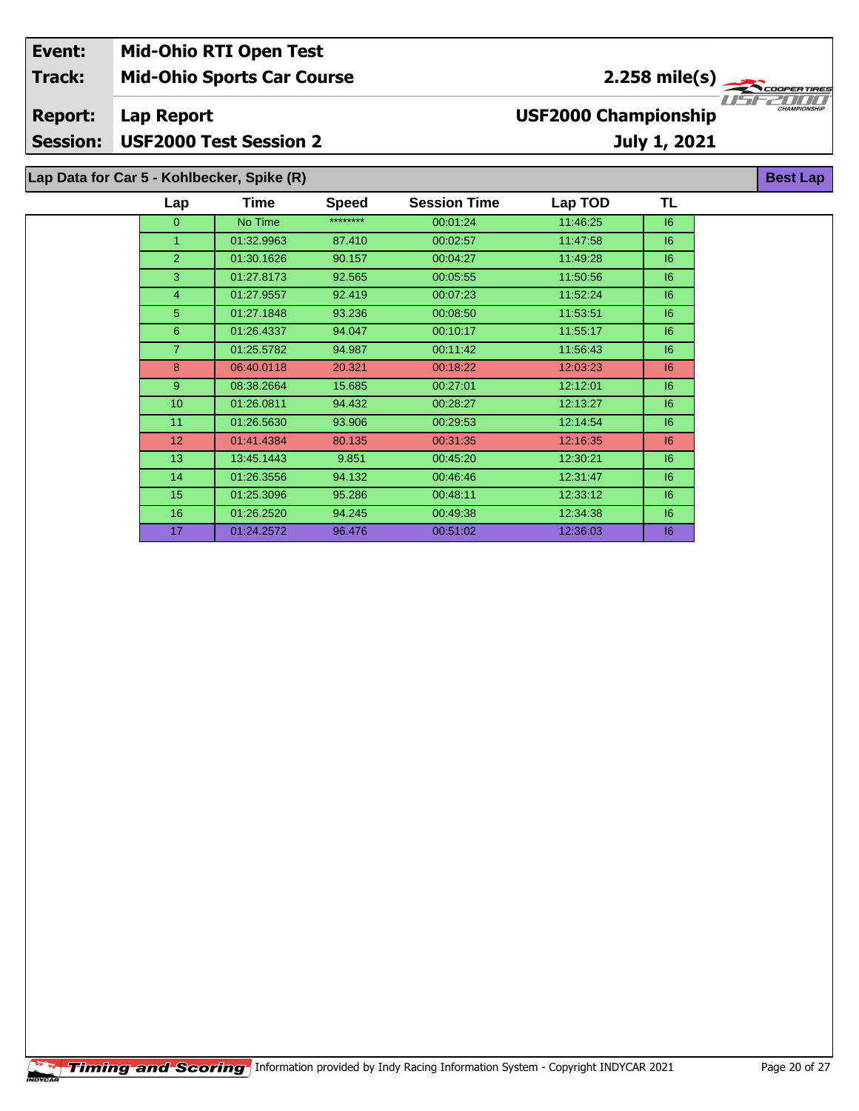| Event:<br><b>Track:</b>           | <b>Mid-Ohio RTI Open Test</b>               | <b>Mid-Ohio Sports Car Course</b> |              |                     |                             | $2.258$ mile(s) | <b>COOPERTIRES</b>  |
|-----------------------------------|---------------------------------------------|-----------------------------------|--------------|---------------------|-----------------------------|-----------------|---------------------|
| <b>Report:</b><br><b>Session:</b> | Lap Report<br><b>USF2000 Test Session 2</b> |                                   |              |                     | <b>USF2000 Championship</b> | July 1, 2021    | <b>CHAMPIONSHIP</b> |
|                                   | Lap Data for Car 5 - Kohlbecker, Spike (R)  |                                   |              |                     |                             |                 | <b>Best Lap</b>     |
|                                   | Lap                                         | <b>Time</b>                       | <b>Speed</b> | <b>Session Time</b> | Lap TOD                     | TL              |                     |
|                                   | $\Omega$                                    | No Time                           | ********     | 00:01:24            | 11:46:25                    | 16              |                     |
|                                   |                                             | 01:32.9963                        | 87.410       | 00:02:57            | 11:47:58                    | 6               |                     |
|                                   | $\mathcal{P}$                               | 01:30.1626                        | 90.157       | 00:04:27            | 11:49:28                    | 16              |                     |
|                                   | 3                                           | 01:27.8173                        | 92.565       | 00:05:55            | 11:50:56                    | 6               |                     |
|                                   |                                             | 01:27.9557                        | 92.419       | 00:07:23            | 11:52:24                    | 6               |                     |

 01:27.1848 93.236 00:08:50 11:53:51 I6 01:26.4337 94.047 00:10:17 11:55:17 I6 01:25.5782 94.987 00:11:42 11:56:43 I6 06:40.0118 20.321 00:18:22 12:03:23 I6 08:38.2664 15.685 00:27:01 12:12:01 I6 01:26.0811 94.432 00:28:27 12:13:27 I6 01:26.5630 93.906 00:29:53 12:14:54 I6 01:41.4384 80.135 00:31:35 12:16:35 I6 13:45.1443 9.851 00:45:20 12:30:21 I6 01:26.3556 94.132 00:46:46 12:31:47 I6 01:25.3096 95.286 00:48:11 12:33:12 I6 01:26.2520 94.245 00:49:38 12:34:38 I6 01:24.2572 96.476 00:51:02 12:36:03 I6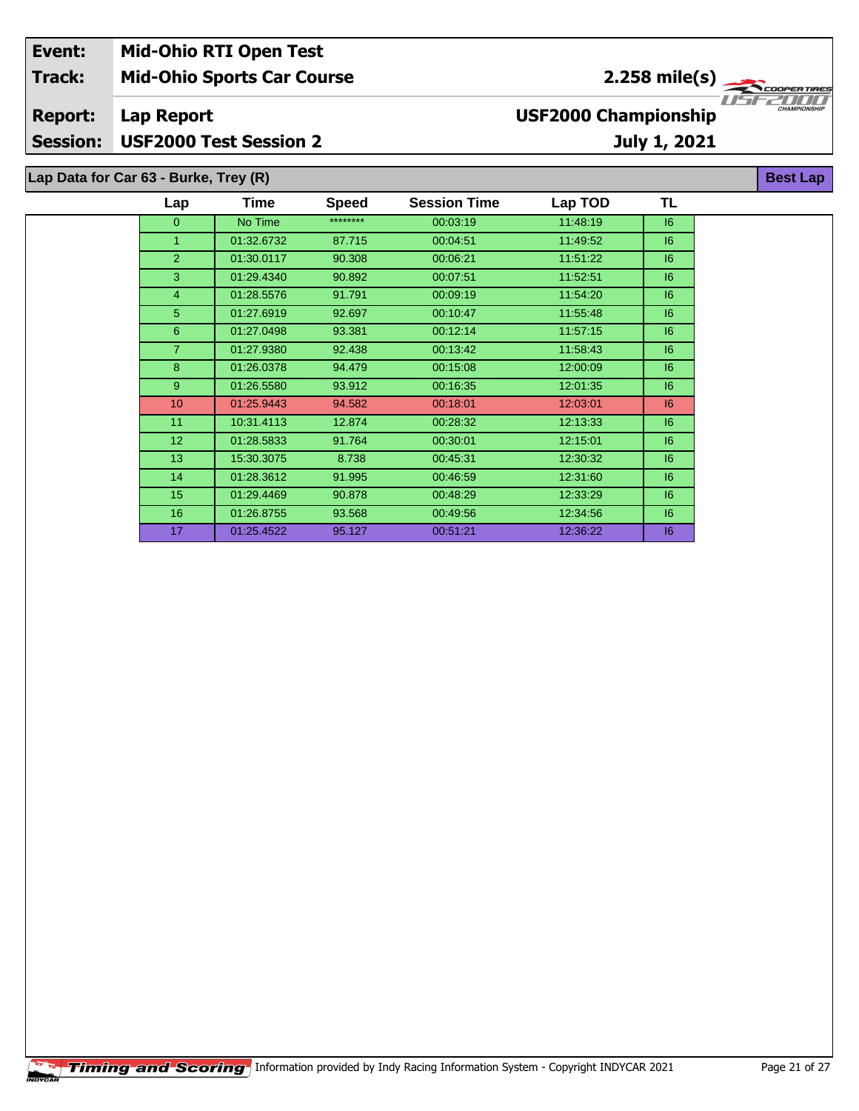| Event:          | <b>Mid-Ohio RTI Open Test</b>         |                                                    |  |
|-----------------|---------------------------------------|----------------------------------------------------|--|
| <b>Track:</b>   | <b>Mid-Ohio Sports Car Course</b>     | 2.258 mile(s) $\rightarrow$<br><b>COOPERTIRES</b>  |  |
| <b>Report:</b>  | Lap Report                            | <b>CHAMPIONSHIP</b><br><b>USF2000 Championship</b> |  |
| <b>Session:</b> | <b>USF2000 Test Session 2</b>         | July 1, 2021                                       |  |
|                 | Lap Data for Car 63 - Burke, Trey (R) | <b>Best Lap</b>                                    |  |

| Lap             | Time       | <b>Speed</b> | <b>Session Time</b> | Lap TOD  | TL |  |
|-----------------|------------|--------------|---------------------|----------|----|--|
| $\overline{0}$  | No Time    | ********     | 00:03:19            | 11:48:19 | 6  |  |
| 1               | 01:32.6732 | 87.715       | 00:04:51            | 11:49:52 | 6  |  |
| $\overline{2}$  | 01:30.0117 | 90.308       | 00:06:21            | 11:51:22 | 6  |  |
| 3               | 01:29.4340 | 90.892       | 00:07:51            | 11:52:51 | 6  |  |
| $\overline{4}$  | 01:28.5576 | 91.791       | 00:09:19            | 11:54:20 | 6  |  |
| 5               | 01:27.6919 | 92.697       | 00:10:47            | 11:55:48 | 6  |  |
| 6               | 01:27.0498 | 93.381       | 00:12:14            | 11:57:15 | 6  |  |
| $\overline{7}$  | 01:27.9380 | 92.438       | 00:13:42            | 11:58:43 | 6  |  |
| 8               | 01:26.0378 | 94.479       | 00:15:08            | 12:00:09 | 6  |  |
| $9^{\circ}$     | 01:26.5580 | 93.912       | 00:16:35            | 12:01:35 | 6  |  |
| 10 <sup>1</sup> | 01:25.9443 | 94.582       | 00:18:01            | 12:03:01 | 6  |  |
| 11              | 10:31.4113 | 12.874       | 00:28:32            | 12:13:33 | 6  |  |
| 12 <sup>2</sup> | 01:28.5833 | 91.764       | 00:30:01            | 12:15:01 | 6  |  |
| 13              | 15:30.3075 | 8.738        | 00:45:31            | 12:30:32 | 16 |  |
| 14              | 01:28.3612 | 91.995       | 00:46:59            | 12:31:60 | 6  |  |
| 15              | 01:29.4469 | 90.878       | 00:48:29            | 12:33:29 | 16 |  |
| 16              | 01:26.8755 | 93.568       | 00:49:56            | 12:34:56 | 6  |  |
| 17              | 01:25.4522 | 95.127       | 00:51:21            | 12:36:22 | 6  |  |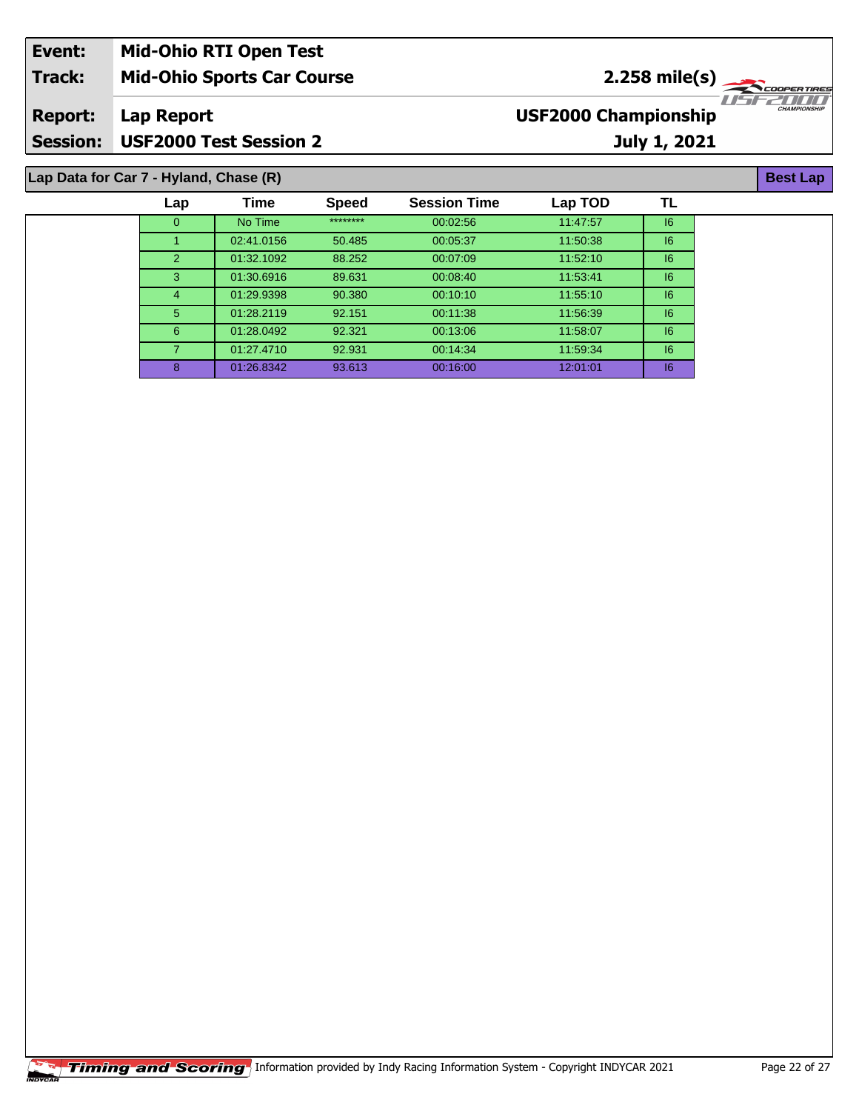| Event:          | <b>Mid-Ohio RTI Open Test</b>          |                                         |                     |
|-----------------|----------------------------------------|-----------------------------------------|---------------------|
| <b>Track:</b>   | <b>Mid-Ohio Sports Car Course</b>      | $2.258$ mile(s)                         |                     |
| <b>Report:</b>  | Lap Report                             | TEETITII<br><b>USF2000 Championship</b> | <b>CHAMPIONSHIP</b> |
| <b>Session:</b> | USF2000 Test Session 2                 | July 1, 2021                            |                     |
|                 | Lap Data for Car 7 - Hyland, Chase (R) |                                         | <b>Best Lap</b>     |

| Lap            | Time       | <b>Speed</b> | <b>Session Time</b> | Lap TOD  | TL      |
|----------------|------------|--------------|---------------------|----------|---------|
| $\overline{0}$ | No Time    | ********     | 00:02:56            | 11:47:57 | $16 \,$ |
|                | 02:41.0156 | 50.485       | 00:05:37            | 11:50:38 | 6       |
| 2              | 01:32.1092 | 88.252       | 00:07:09            | 11:52:10 | 6       |
| 3              | 01:30.6916 | 89.631       | 00:08:40            | 11:53:41 | 6       |
| 4              | 01:29.9398 | 90.380       | 00:10:10            | 11:55:10 | 16      |
| 5 <sup>5</sup> | 01:28.2119 | 92.151       | 00:11:38            | 11:56:39 | 6       |
| 6              | 01:28.0492 | 92.321       | 00:13:06            | 11:58:07 | 6       |
|                | 01:27.4710 | 92.931       | 00:14:34            | 11:59:34 | 16      |
| 8              | 01:26.8342 | 93.613       | 00:16:00            | 12:01:01 | 16      |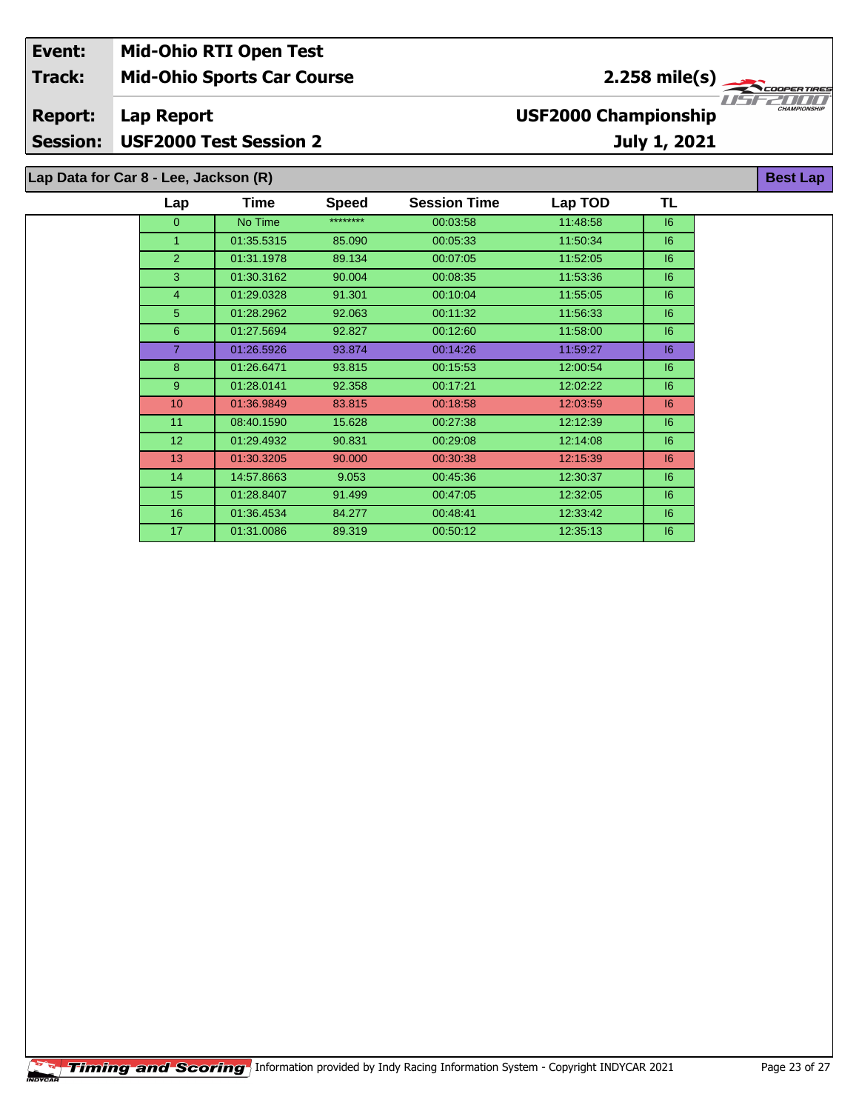| Event:         | <b>Mid-Ohio RTI Open Test</b>         |                             |                                 |
|----------------|---------------------------------------|-----------------------------|---------------------------------|
| <b>Track:</b>  | <b>Mid-Ohio Sports Car Course</b>     | $2.258 \text{ mile(s)}$     |                                 |
| <b>Report:</b> | Lap Report                            | <b>USF2000 Championship</b> | IISE2000<br><b>CHAMPIONSHIP</b> |
| Session:       | <b>USF2000 Test Session 2</b>         | July 1, 2021                |                                 |
|                | Lap Data for Car 8 - Lee, Jackson (R) |                             | <b>Best Lap</b>                 |

| Lap              | Time       | <b>Speed</b> | <b>Session Time</b> | Lap TOD  | TL |  |
|------------------|------------|--------------|---------------------|----------|----|--|
| $\mathbf{0}$     | No Time    | ********     | 00:03:58            | 11:48:58 | 6  |  |
| 1                | 01:35.5315 | 85.090       | 00:05:33            | 11:50:34 | 6  |  |
| $\overline{2}$   | 01:31.1978 | 89.134       | 00:07:05            | 11:52:05 | 6  |  |
| 3                | 01:30.3162 | 90.004       | 00:08:35            | 11:53:36 | 6  |  |
| $\overline{4}$   | 01:29.0328 | 91.301       | 00:10:04            | 11:55:05 | 6  |  |
| 5 <sup>5</sup>   | 01:28.2962 | 92.063       | 00:11:32            | 11:56:33 | 6  |  |
| 6                | 01:27.5694 | 92.827       | 00:12:60            | 11:58:00 | 6  |  |
| 7                | 01:26.5926 | 93.874       | 00:14:26            | 11:59:27 | 6  |  |
| 8                | 01:26.6471 | 93.815       | 00:15:53            | 12:00:54 | 6  |  |
| $9^{\circ}$      | 01:28.0141 | 92.358       | 00:17:21            | 12:02:22 | 6  |  |
| 10               | 01:36.9849 | 83.815       | 00:18:58            | 12:03:59 | 6  |  |
| 11               | 08:40.1590 | 15.628       | 00:27:38            | 12:12:39 | 6  |  |
| 12 <sup>2</sup>  | 01:29.4932 | 90.831       | 00:29:08            | 12:14:08 | 6  |  |
| 13               | 01:30.3205 | 90.000       | 00:30:38            | 12:15:39 | 6  |  |
| 14               | 14:57.8663 | 9.053        | 00:45:36            | 12:30:37 | 6  |  |
| 15 <sub>15</sub> | 01:28.8407 | 91.499       | 00:47:05            | 12:32:05 | 6  |  |
| 16               | 01:36.4534 | 84.277       | 00:48:41            | 12:33:42 | 16 |  |
| 17               | 01:31.0086 | 89.319       | 00:50:12            | 12:35:13 | 16 |  |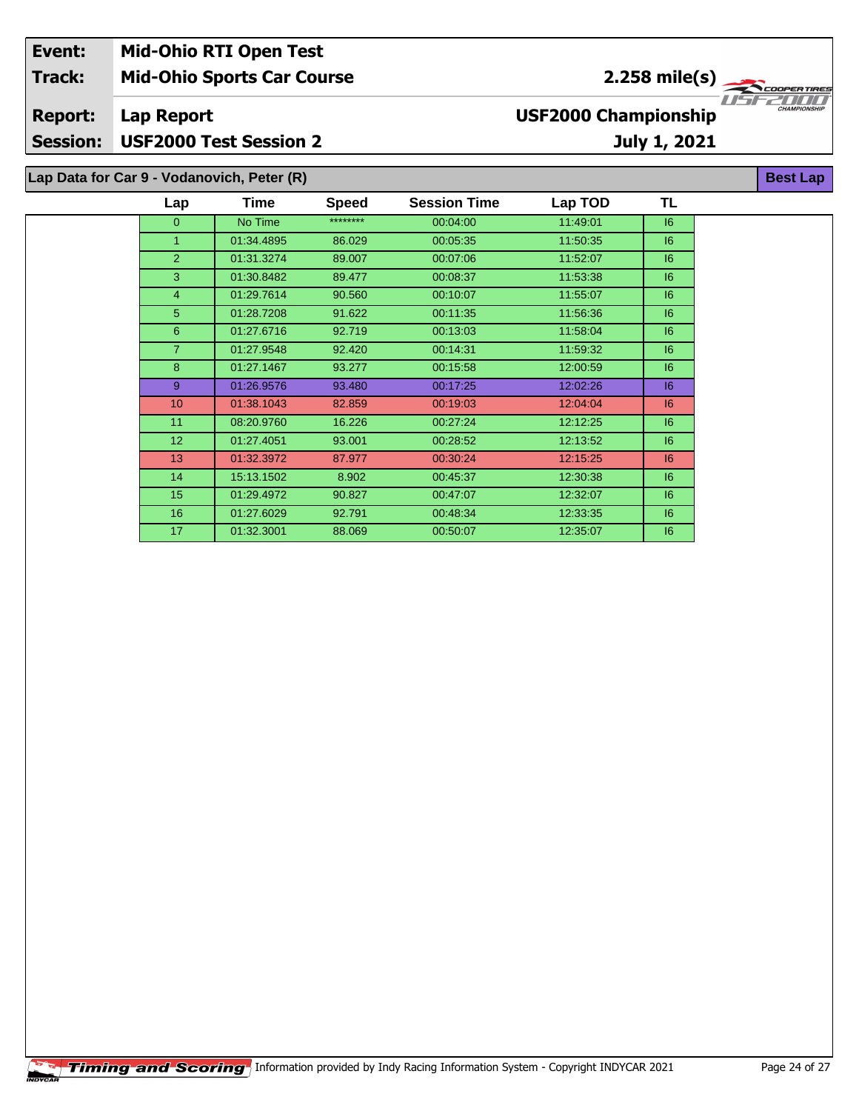| Event:          | <b>Mid-Ohio RTI Open Test</b>              |                                   |              |                                       |                             |              |                     |
|-----------------|--------------------------------------------|-----------------------------------|--------------|---------------------------------------|-----------------------------|--------------|---------------------|
| <b>Track:</b>   |                                            | <b>Mid-Ohio Sports Car Course</b> |              | $2.258$ mile(s)<br><b>COOPERTIRES</b> |                             |              |                     |
| <b>Report:</b>  | Lap Report                                 |                                   |              |                                       | <b>USF2000 Championship</b> |              | <b>CHAMPIONSHIP</b> |
| <b>Session:</b> | <b>USF2000 Test Session 2</b>              |                                   |              |                                       |                             | July 1, 2021 |                     |
|                 | Lap Data for Car 9 - Vodanovich, Peter (R) |                                   |              |                                       |                             |              | <b>Best Lap</b>     |
|                 | Lap                                        | <b>Time</b>                       | <b>Speed</b> | <b>Session Time</b>                   | Lap TOD                     | TL           |                     |
|                 | $\overline{0}$                             | No Time                           | ********     | 00:04:00                              | 11:49:01                    | 16           |                     |
|                 |                                            | 01:34.4895                        | 86.029       | 00:05:35                              | 11:50:35                    | 6            |                     |
|                 | $\mathcal{P}$                              | 01:31.3274                        | 89.007       | 00:07:06                              | 11:52:07                    | 6            |                     |
|                 | 3                                          | 01:30.8482                        | 89.477       | 00:08:37                              | 11:53:38                    | 16           |                     |
|                 |                                            | 01:29.7614                        | 90.560       | 00:10:07                              | 11:55:07                    | 16           |                     |

 01:28.7208 91.622 00:11:35 11:56:36 I6 01:27.6716 92.719 00:13:03 11:58:04 I6 01:27.9548 92.420 00:14:31 11:59:32 I6 01:27.1467 93.277 00:15:58 12:00:59 I6 01:26.9576 93.480 00:17:25 12:02:26 I6 01:38.1043 82.859 00:19:03 12:04:04 I6 08:20.9760 16.226 00:27:24 12:12:25 I6 01:27.4051 93.001 00:28:52 12:13:52 I6 01:32.3972 87.977 00:30:24 12:15:25 I6 15:13.1502 8.902 00:45:37 12:30:38 I6 01:29.4972 90.827 00:47:07 12:32:07 I6 01:27.6029 92.791 00:48:34 12:33:35 I6 01:32.3001 88.069 00:50:07 12:35:07 I6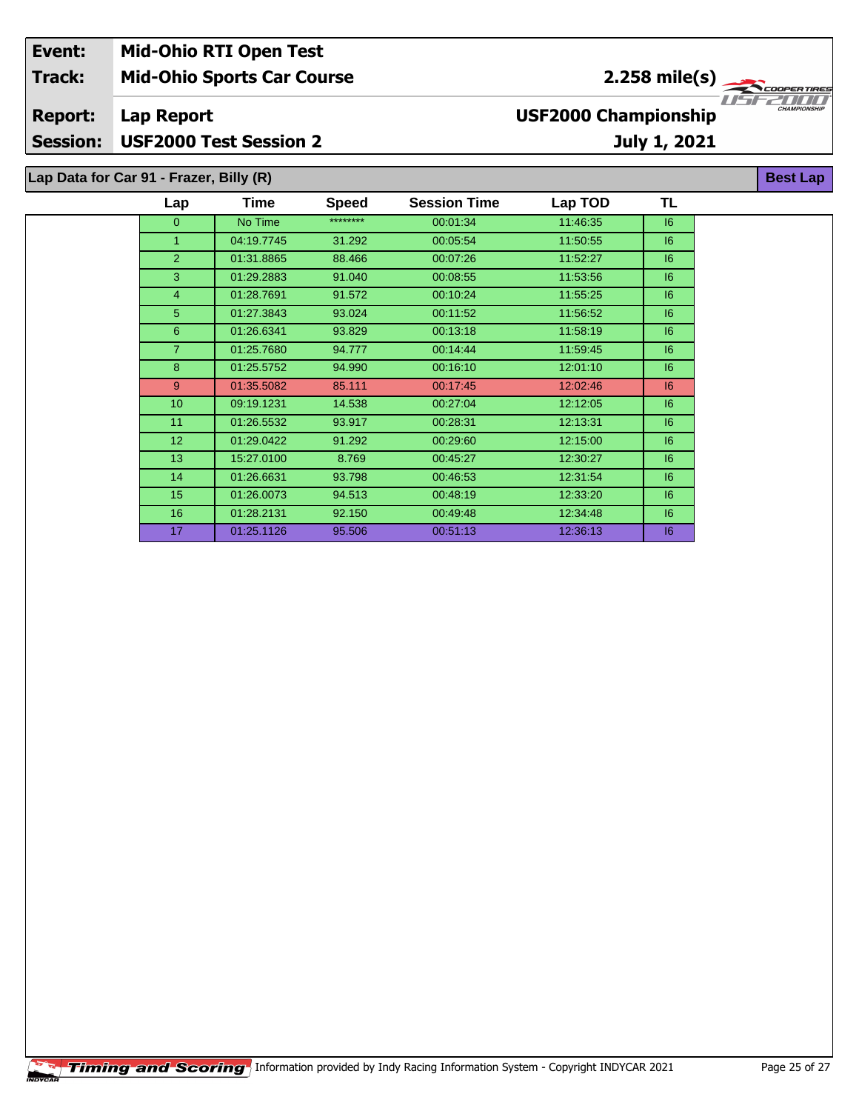| Event:          | <b>Mid-Ohio RTI Open Test</b>           |      |              |                     |                             |                             |                     |
|-----------------|-----------------------------------------|------|--------------|---------------------|-----------------------------|-----------------------------|---------------------|
| <b>Track:</b>   | <b>Mid-Ohio Sports Car Course</b>       |      |              |                     |                             | 2.258 mile(s) $\rightarrow$ | COOPER TIRES        |
| <b>Report:</b>  | Lap Report                              |      |              |                     | <b>USF2000 Championship</b> |                             | <b>CHAMPIONSHIP</b> |
| <b>Session:</b> | <b>USF2000 Test Session 2</b>           |      |              |                     |                             | July 1, 2021                |                     |
|                 | Lap Data for Car 91 - Frazer, Billy (R) |      |              |                     |                             |                             | <b>Best Lap</b>     |
|                 | Lap                                     | Time | <b>Speed</b> | <b>Session Time</b> | Lap TOD                     | ΤL                          |                     |

| ∟aµ              | .          | opeeu    | <b>UCSSIVII TIIII</b> | Lap TUD  | . . |
|------------------|------------|----------|-----------------------|----------|-----|
| $\Omega$         | No Time    | ******** | 00:01:34              | 11:46:35 | 16  |
| 1                | 04:19.7745 | 31.292   | 00:05:54              | 11:50:55 | 16  |
| 2                | 01:31.8865 | 88.466   | 00:07:26              | 11:52:27 | 16  |
| 3                | 01:29.2883 | 91.040   | 00:08:55              | 11:53:56 | 6   |
| $\overline{4}$   | 01:28.7691 | 91.572   | 00:10:24              | 11:55:25 | 16  |
| 5                | 01:27.3843 | 93.024   | 00:11:52              | 11:56:52 | 6   |
| 6                | 01:26.6341 | 93.829   | 00:13:18              | 11:58:19 | 6   |
| $\overline{7}$   | 01:25.7680 | 94.777   | 00:14:44              | 11:59:45 | 6   |
| 8                | 01:25.5752 | 94.990   | 00.16.10              | 12:01:10 | 6   |
| 9                | 01:35.5082 | 85.111   | 00:17:45              | 12:02:46 | 6   |
| 10 <sup>10</sup> | 09:19.1231 | 14.538   | 00:27:04              | 12:12:05 | 6   |
| 11               | 01:26.5532 | 93.917   | 00:28:31              | 12:13:31 | 6   |
| 12 <sup>2</sup>  | 01:29.0422 | 91.292   | 00:29:60              | 12:15:00 | 6   |
| 13 <sup>°</sup>  | 15:27.0100 | 8.769    | 00:45:27              | 12:30:27 | 6   |
| 14               | 01:26.6631 | 93.798   | 00:46:53              | 12:31:54 | 6   |
| 15               | 01:26.0073 | 94.513   | 00:48:19              | 12:33:20 | 6   |
| 16 <sup>°</sup>  | 01:28.2131 | 92.150   | 00:49:48              | 12:34:48 | 6   |
| 17               | 01:25.1126 | 95.506   | 00:51:13              | 12:36:13 | 16  |
|                  |            |          |                       |          |     |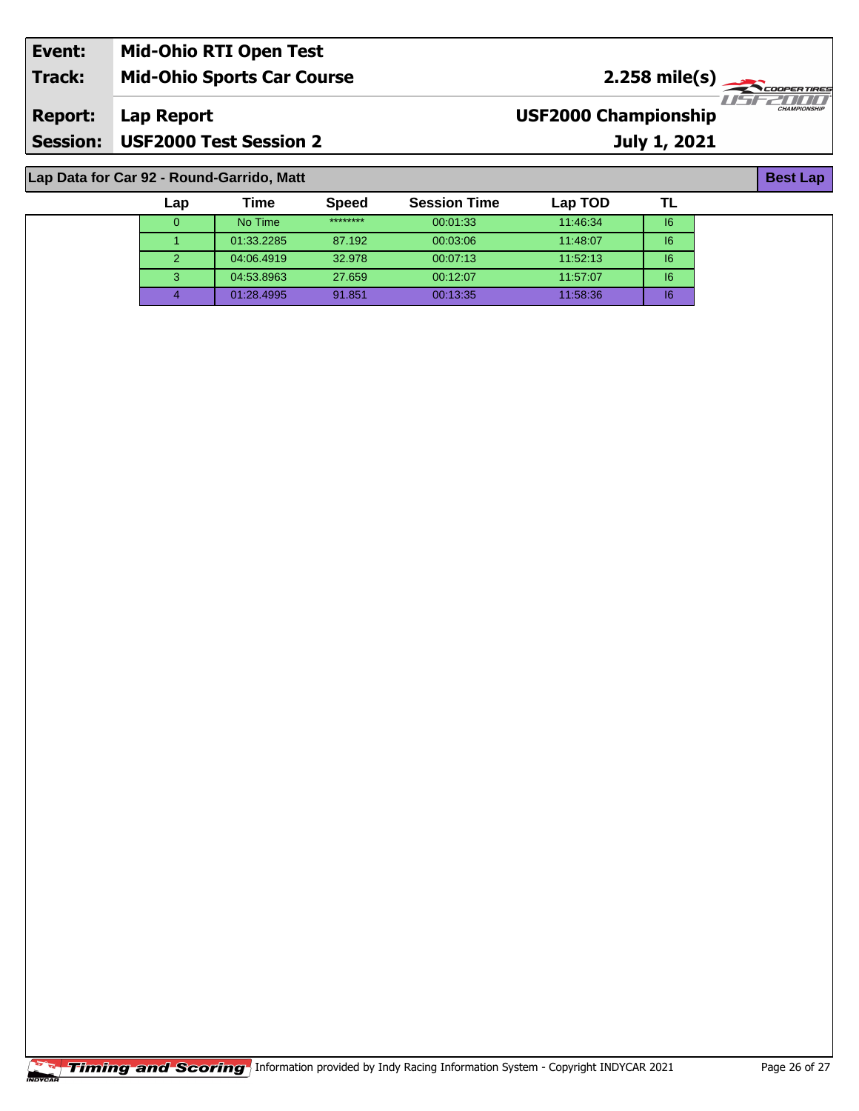| Event:          | <b>Mid-Ohio RTI Open Test</b>     |                             |                     |
|-----------------|-----------------------------------|-----------------------------|---------------------|
| <b>Track:</b>   | <b>Mid-Ohio Sports Car Course</b> | $2.258 \text{ mile(s)}$     |                     |
| <b>Report:</b>  | Lap Report                        | <b>USF2000 Championship</b> | <b>CHAMPIONSHIP</b> |
| <b>Session:</b> | USF2000 Test Session 2            | <b>July 1, 2021</b>         |                     |
|                 |                                   |                             |                     |

## **Lap Data for Car 92 - Round-Garrido, Matt**

| Lap           | Time       | <b>Speed</b> | <b>Session Time</b> | Lap TOD  |    |
|---------------|------------|--------------|---------------------|----------|----|
|               | No Time    | ********     | 00:01:33            | 11:46:34 | 16 |
|               | 01:33.2285 | 87.192       | 00:03:06            | 11:48:07 | 16 |
| $\mathcal{P}$ | 04:06.4919 | 32.978       | 00:07:13            | 11:52:13 | 16 |
| 3             | 04:53.8963 | 27.659       | 00:12:07            | 11:57:07 | 16 |
|               | 01:28.4995 | 91.851       | 00:13:35            | 11:58:36 | 16 |

**Best Lap**